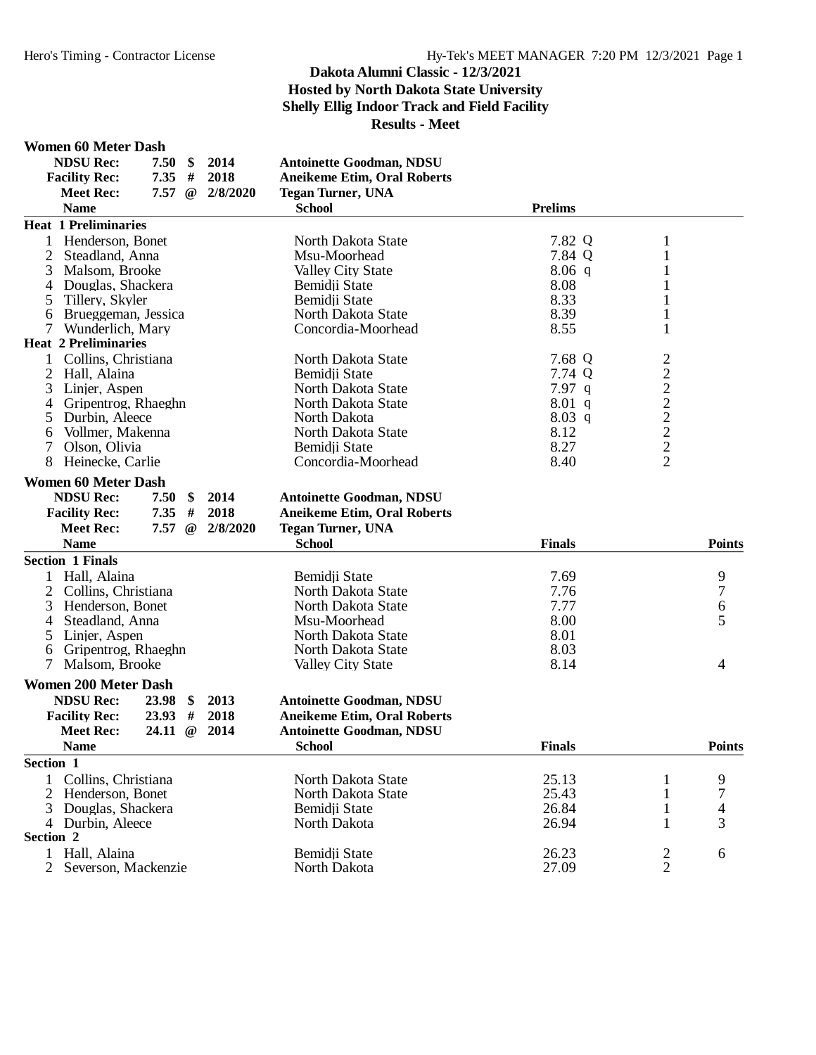#### **Women 60 Meter Dash**

| <b>NDSU Rec:</b>                      | 7.50                | \$       | 2014     | <b>Antoinette Goodman, NDSU</b>    |                |                 |                |
|---------------------------------------|---------------------|----------|----------|------------------------------------|----------------|-----------------|----------------|
| <b>Facility Rec:</b>                  | 7.35                | #        | 2018     | <b>Aneikeme Etim, Oral Roberts</b> |                |                 |                |
| <b>Meet Rec:</b>                      | 7.57                | $\omega$ | 2/8/2020 | <b>Tegan Turner, UNA</b>           |                |                 |                |
| <b>Name</b>                           |                     |          |          | <b>School</b>                      | <b>Prelims</b> |                 |                |
| <b>Heat 1 Preliminaries</b>           |                     |          |          |                                    |                |                 |                |
| Henderson, Bonet<br>1                 |                     |          |          | North Dakota State                 | 7.82 Q         | $\mathbf{1}$    |                |
| 2<br>Steadland, Anna                  |                     |          |          | Msu-Moorhead                       | 7.84 Q         | $\mathbf{1}$    |                |
| 3<br>Malsom, Brooke                   |                     |          |          | <b>Valley City State</b>           | $8.06$ q       | 1               |                |
| Douglas, Shackera<br>4                |                     |          |          | Bemidji State                      | 8.08           |                 |                |
| 5<br>Tillery, Skyler                  |                     |          |          | Bemidji State                      | 8.33           | 1               |                |
| Brueggeman, Jessica<br>6              |                     |          |          | North Dakota State                 | 8.39           | 1               |                |
| $\tau$<br>Wunderlich, Mary            |                     |          |          | Concordia-Moorhead                 | 8.55           | $\mathbf{1}$    |                |
| <b>Heat 2 Preliminaries</b>           |                     |          |          |                                    |                |                 |                |
| Collins, Christiana<br>1              |                     |          |          | North Dakota State                 | 7.68 Q         |                 |                |
| 2 Hall, Alaina                        |                     |          |          | Bemidji State                      | 7.74 Q         |                 |                |
| 3<br>Linjer, Aspen                    |                     |          |          | North Dakota State                 | $7.97$ q       |                 |                |
| Gripentrog, Rhaeghn<br>4              |                     |          |          | North Dakota State                 | $8.01$ q       |                 |                |
| Durbin, Aleece<br>5                   |                     |          |          | North Dakota                       | 8.03 q         |                 |                |
| Vollmer, Makenna<br>6                 |                     |          |          | North Dakota State                 | 8.12           | 2 2 2 2 2 2 2 2 |                |
| 7<br>Olson, Olivia                    |                     |          |          | Bemidji State                      | 8.27           |                 |                |
| 8<br>Heinecke, Carlie                 |                     |          |          | Concordia-Moorhead                 | 8.40           |                 |                |
|                                       |                     |          |          |                                    |                |                 |                |
| <b>Women 60 Meter Dash</b>            |                     |          |          |                                    |                |                 |                |
| <b>NDSU Rec:</b>                      | 7.50                | \$       | 2014     | <b>Antoinette Goodman, NDSU</b>    |                |                 |                |
| <b>Facility Rec:</b>                  | 7.35                | $\#$     | 2018     | <b>Aneikeme Etim, Oral Roberts</b> |                |                 |                |
| <b>Meet Rec:</b>                      | $7.57 \circledcirc$ |          | 2/8/2020 | <b>Tegan Turner, UNA</b>           |                |                 |                |
| <b>Name</b>                           |                     |          |          | <b>School</b>                      | <b>Finals</b>  |                 | <b>Points</b>  |
| <b>Section 1 Finals</b>               |                     |          |          |                                    |                |                 |                |
| Hall, Alaina                          |                     |          |          | Bemidji State                      | 7.69           |                 | 9              |
| $\overline{2}$<br>Collins, Christiana |                     |          |          | North Dakota State                 | 7.76           |                 | $\overline{7}$ |
| Henderson, Bonet<br>3                 |                     |          |          | North Dakota State                 | 7.77           |                 | 6              |
| Steadland, Anna<br>4                  |                     |          |          | Msu-Moorhead                       | 8.00           |                 | 5              |
| 5<br>Linjer, Aspen                    |                     |          |          | North Dakota State                 | 8.01           |                 |                |
| Gripentrog, Rhaeghn<br>6              |                     |          |          | North Dakota State                 | 8.03           |                 |                |
| 7<br>Malsom, Brooke                   |                     |          |          | <b>Valley City State</b>           | 8.14           |                 | 4              |
| <b>Women 200 Meter Dash</b>           |                     |          |          |                                    |                |                 |                |
| <b>NDSU Rec:</b>                      | 23.98               | \$       | 2013     | <b>Antoinette Goodman, NDSU</b>    |                |                 |                |
|                                       |                     |          | 2018     |                                    |                |                 |                |
| <b>Facility Rec:</b>                  | 23.93               | #        |          | <b>Aneikeme Etim, Oral Roberts</b> |                |                 |                |
| <b>Meet Rec:</b>                      | 24.11               | $\omega$ | 2014     | <b>Antoinette Goodman, NDSU</b>    |                |                 |                |
| <b>Name</b>                           |                     |          |          | <b>School</b>                      | <b>Finals</b>  |                 | <b>Points</b>  |
| Section 1                             |                     |          |          |                                    |                |                 |                |
| Collins, Christiana                   |                     |          |          | North Dakota State                 | 25.13          |                 | 9              |
| Henderson, Bonet                      |                     |          |          | North Dakota State                 | 25.43          | 1               | 7              |
| 3 Douglas, Shackera                   |                     |          |          | Bemidji State                      | 26.84          | $\mathbf{1}$    | $\overline{4}$ |
| Durbin, Aleece<br>4                   |                     |          |          | North Dakota                       | 26.94          | 1               | 3              |
| Section 2                             |                     |          |          |                                    |                |                 |                |
| 1 Hall, Alaina                        |                     |          |          | Bemidji State                      | 26.23          | $\overline{c}$  | 6              |
| $\mathbf{2}$<br>Severson, Mackenzie   |                     |          |          | North Dakota                       | 27.09          | $\overline{2}$  |                |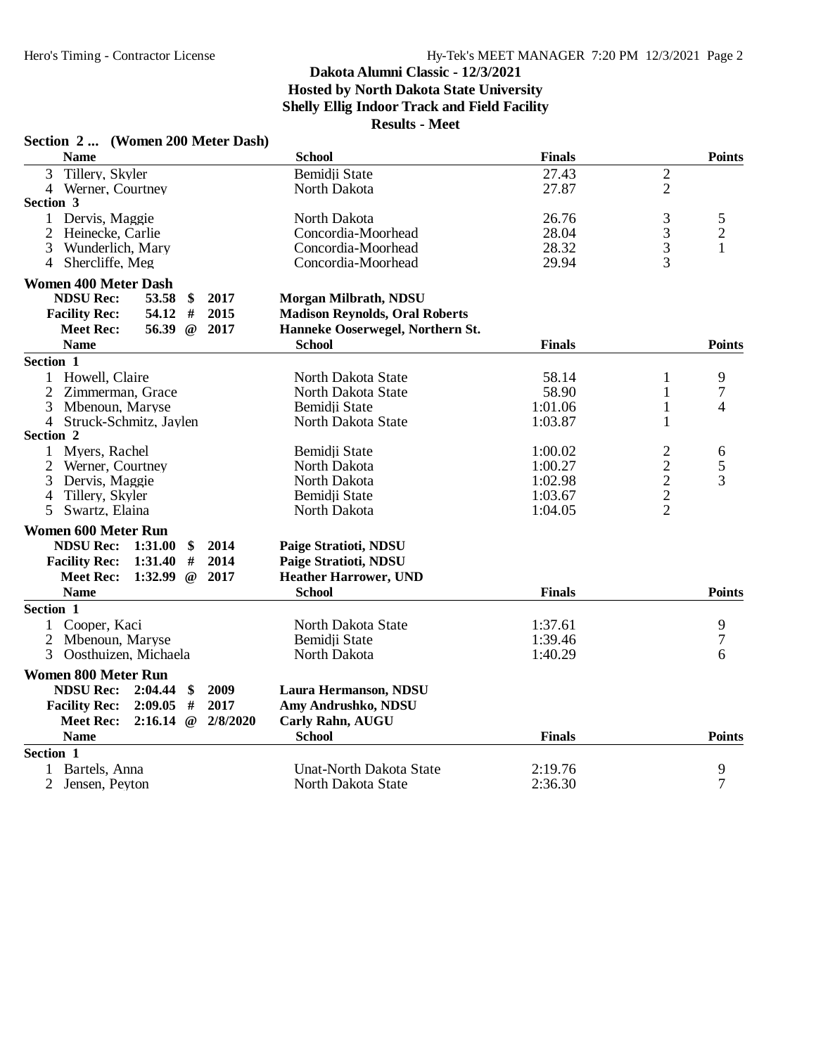| Section 2  (Women 200 Meter Dash)                                  |                                       |               |                                            |                |
|--------------------------------------------------------------------|---------------------------------------|---------------|--------------------------------------------|----------------|
| <b>Name</b>                                                        | <b>School</b>                         | <b>Finals</b> |                                            | <b>Points</b>  |
| Tillery, Skyler<br>$\overline{3}$                                  | Bemidji State                         | 27.43         | $\overline{2}$                             |                |
| 4 Werner, Courtney                                                 | North Dakota                          | 27.87         | $\overline{2}$                             |                |
| Section 3                                                          |                                       |               |                                            |                |
| 1 Dervis, Maggie                                                   | North Dakota                          | 26.76         | 3                                          | 5              |
| $\overline{2}$<br>Heinecke, Carlie                                 | Concordia-Moorhead                    | 28.04         | $\frac{3}{3}$                              | $\sqrt{2}$     |
| 3<br>Wunderlich, Mary                                              | Concordia-Moorhead                    | 28.32         |                                            | $\mathbf{1}$   |
| 4 Shercliffe, Meg                                                  | Concordia-Moorhead                    | 29.94         | $\overline{3}$                             |                |
| <b>Women 400 Meter Dash</b>                                        |                                       |               |                                            |                |
| <b>NDSU Rec:</b><br>53.58<br>2017<br>\$                            | Morgan Milbrath, NDSU                 |               |                                            |                |
| #<br>54.12<br>2015<br><b>Facility Rec:</b>                         | <b>Madison Reynolds, Oral Roberts</b> |               |                                            |                |
| 2017<br><b>Meet Rec:</b><br>56.39 $@$                              | Hanneke Ooserwegel, Northern St.      |               |                                            |                |
| <b>Name</b>                                                        | <b>School</b>                         | <b>Finals</b> |                                            | <b>Points</b>  |
| Section 1                                                          |                                       |               |                                            |                |
| 1 Howell, Claire                                                   | North Dakota State                    | 58.14         | 1                                          | 9              |
| $\overline{2}$<br>Zimmerman, Grace                                 | North Dakota State                    | 58.90         | $\mathbf{1}$                               | 7              |
| 3<br>Mbenoun, Maryse                                               | Bemidji State                         | 1:01.06       | 1                                          | 4              |
| 4 Struck-Schmitz, Jaylen                                           | North Dakota State                    | 1:03.87       | 1                                          |                |
| Section 2                                                          |                                       |               |                                            |                |
| Myers, Rachel<br>1                                                 | Bemidji State                         | 1:00.02       | $\overline{c}$                             | 6              |
| Werner, Courtney<br>$\overline{2}$                                 | North Dakota                          | 1:00.27       | $\begin{array}{c} 2 \\ 2 \\ 2 \end{array}$ | 5              |
| 3<br>Dervis, Maggie                                                | North Dakota                          | 1:02.98       |                                            | 3              |
| Tillery, Skyler<br>$\overline{4}$                                  | Bemidji State                         | 1:03.67       |                                            |                |
| $5\overline{)}$<br>Swartz, Elaina                                  | North Dakota                          | 1:04.05       |                                            |                |
| <b>Women 600 Meter Run</b>                                         |                                       |               |                                            |                |
| <b>NDSU Rec:</b><br>1:31.00<br>2014<br>\$                          | Paige Stratioti, NDSU                 |               |                                            |                |
| <b>Facility Rec:</b><br>1:31.40<br>#<br>2014                       | Paige Stratioti, NDSU                 |               |                                            |                |
| 1:32.99<br>2017<br><b>Meet Rec:</b><br>$\omega$                    | <b>Heather Harrower, UND</b>          |               |                                            |                |
| <b>Name</b>                                                        | <b>School</b>                         | <b>Finals</b> |                                            | <b>Points</b>  |
| Section 1                                                          |                                       |               |                                            |                |
| Cooper, Kaci                                                       | North Dakota State                    | 1:37.61       |                                            | 9              |
| 2<br>Mbenoun, Maryse                                               | Bemidji State                         | 1:39.46       |                                            | 7              |
| 3<br>Oosthuizen, Michaela                                          | North Dakota                          | 1:40.29       |                                            | 6              |
| <b>Women 800 Meter Run</b>                                         |                                       |               |                                            |                |
| <b>NDSU Rec:</b><br>2009<br>2:04.44<br>\$                          | Laura Hermanson, NDSU                 |               |                                            |                |
| 2:09.05<br>#<br>2017<br><b>Facility Rec:</b>                       | Amy Andrushko, NDSU                   |               |                                            |                |
| <b>Meet Rec:</b><br>$2:16.14 \text{ } \textcircled{a}$<br>2/8/2020 | Carly Rahn, AUGU                      |               |                                            |                |
| <b>Name</b>                                                        | <b>School</b>                         | <b>Finals</b> |                                            | <b>Points</b>  |
| Section 1                                                          |                                       |               |                                            |                |
| Bartels, Anna                                                      | <b>Unat-North Dakota State</b>        | 2:19.76       |                                            | 9              |
| $\overline{2}$<br>Jensen, Peyton                                   | North Dakota State                    | 2:36.30       |                                            | $\overline{7}$ |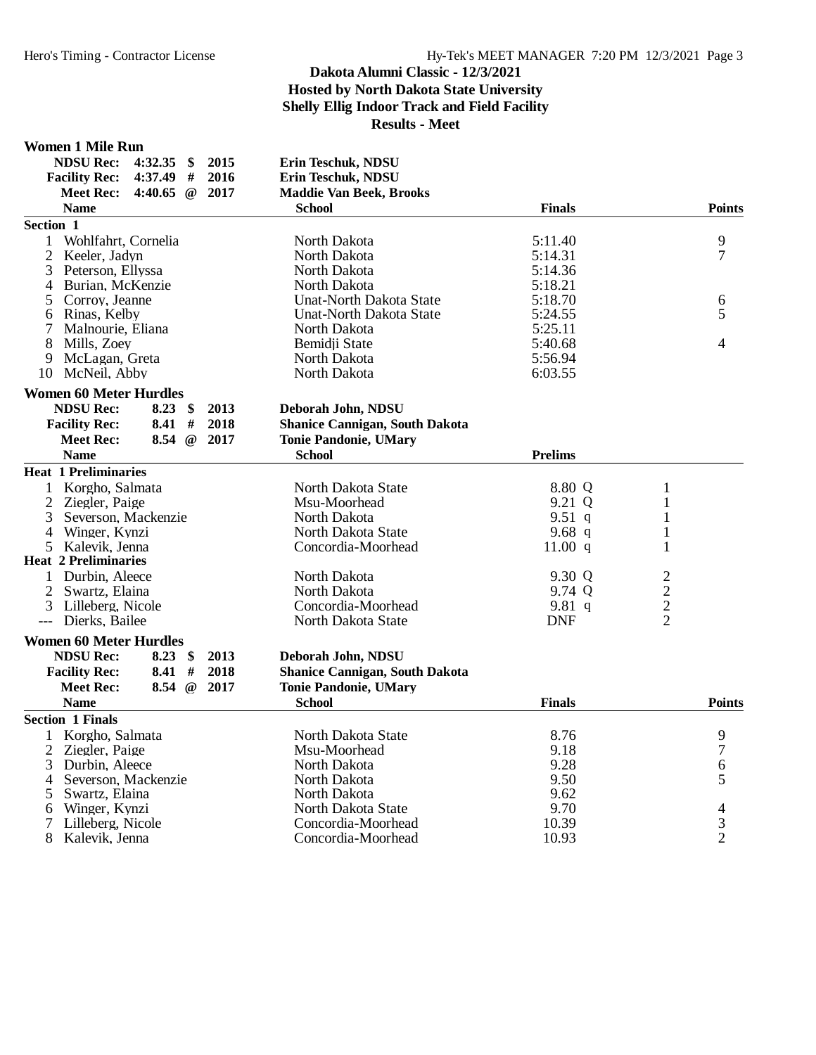#### **Women 1 Mile Run**

|                  | <b>NDSU Rec:</b><br><b>Facility Rec:</b> | $4:32.35$ \$<br>4:37.49 # |          | 2015<br>2016 | Erin Teschuk, NDSU<br>Erin Teschuk, NDSU |                |                |                |
|------------------|------------------------------------------|---------------------------|----------|--------------|------------------------------------------|----------------|----------------|----------------|
|                  | <b>Meet Rec:</b>                         | 4:40.65 $@$               |          | 2017         | <b>Maddie Van Beek, Brooks</b>           |                |                |                |
|                  | <b>Name</b>                              |                           |          |              | <b>School</b>                            | <b>Finals</b>  |                | <b>Points</b>  |
| <b>Section 1</b> |                                          |                           |          |              |                                          |                |                |                |
| 1                | Wohlfahrt, Cornelia                      |                           |          |              | North Dakota                             | 5:11.40        |                | 9              |
| 2                | Keeler, Jadyn                            |                           |          |              | North Dakota                             | 5:14.31        |                | $\overline{7}$ |
|                  | 3 Peterson, Ellyssa                      |                           |          |              | North Dakota                             | 5:14.36        |                |                |
| 4                | Burian, McKenzie                         |                           |          |              | North Dakota                             | 5:18.21        |                |                |
| 5                | Corroy, Jeanne                           |                           |          |              | <b>Unat-North Dakota State</b>           | 5:18.70        |                | 6              |
|                  | 6 Rinas, Kelby                           |                           |          |              | <b>Unat-North Dakota State</b>           | 5:24.55        |                | 5              |
| $\tau$           | Malnourie, Eliana                        |                           |          |              | North Dakota                             | 5:25.11        |                |                |
| 8                | Mills, Zoev                              |                           |          |              | Bemidii State                            | 5:40.68        |                | 4              |
| 9                | McLagan, Greta                           |                           |          |              | North Dakota                             | 5:56.94        |                |                |
|                  | 10 McNeil, Abby                          |                           |          |              | North Dakota                             | 6:03.55        |                |                |
|                  | <b>Women 60 Meter Hurdles</b>            |                           |          |              |                                          |                |                |                |
|                  | <b>NDSU Rec:</b>                         | $8.23 \quad $$            |          | 2013         | Deborah John, NDSU                       |                |                |                |
|                  | <b>Facility Rec:</b>                     | 8.41                      | #        | 2018         | <b>Shanice Cannigan, South Dakota</b>    |                |                |                |
|                  | <b>Meet Rec:</b>                         | 8.54                      | $\omega$ | 2017         | <b>Tonie Pandonie, UMary</b>             |                |                |                |
|                  | <b>Name</b>                              |                           |          |              | <b>School</b>                            | <b>Prelims</b> |                |                |
|                  | Heat 1 Preliminaries                     |                           |          |              |                                          |                |                |                |
|                  | Korgho, Salmata                          |                           |          |              | North Dakota State                       | 8.80 Q         | $\mathbf{1}$   |                |
|                  | 2 Ziegler, Paige                         |                           |          |              | Msu-Moorhead                             | 9.21 Q         | $\mathbf{1}$   |                |
|                  | 3 Severson, Mackenzie                    |                           |          |              | North Dakota                             | 9.51 $q$       | 1              |                |
|                  | 4 Winger, Kynzi                          |                           |          |              | North Dakota State                       | 9.68 $q$       | $\mathbf{1}$   |                |
|                  | 5 Kalevik, Jenna                         |                           |          |              | Concordia-Moorhead                       | 11.00 $q$      | 1              |                |
|                  | <b>Heat 2 Preliminaries</b>              |                           |          |              |                                          |                |                |                |
|                  | 1 Durbin, Aleece                         |                           |          |              | North Dakota                             | 9.30 Q         | 2              |                |
|                  | 2 Swartz, Elaina                         |                           |          |              | North Dakota                             | 9.74 Q         | $\overline{c}$ |                |
|                  | 3 Lilleberg, Nicole                      |                           |          |              | Concordia-Moorhead                       | 9.81 $q$       | $\sqrt{2}$     |                |
|                  | Dierks, Bailee                           |                           |          |              | North Dakota State                       | <b>DNF</b>     | $\overline{2}$ |                |
|                  | <b>Women 60 Meter Hurdles</b>            |                           |          |              |                                          |                |                |                |
|                  | <b>NDSU Rec:</b>                         | $8.23$ \$                 |          | 2013         | Deborah John, NDSU                       |                |                |                |
|                  | <b>Facility Rec:</b>                     | 8.41                      | #        | 2018         | <b>Shanice Cannigan, South Dakota</b>    |                |                |                |
|                  | <b>Meet Rec:</b>                         | 8.54 $@$                  |          | 2017         | <b>Tonie Pandonie, UMary</b>             |                |                |                |
|                  | <b>Name</b>                              |                           |          |              | <b>School</b>                            | <b>Finals</b>  |                | <b>Points</b>  |
|                  | <b>Section 1 Finals</b>                  |                           |          |              |                                          |                |                |                |
| $\mathbf{1}$     | Korgho, Salmata                          |                           |          |              | North Dakota State                       | 8.76           |                | 9              |
|                  | 2 Ziegler, Paige                         |                           |          |              | Msu-Moorhead                             | 9.18           |                | 7              |
| 3                | Durbin, Aleece                           |                           |          |              | North Dakota                             | 9.28           |                | 6              |
| 4                | Severson, Mackenzie                      |                           |          |              | North Dakota                             | 9.50           |                | 5              |
| 5                | Swartz, Elaina                           |                           |          |              | North Dakota                             | 9.62           |                |                |
| 6                | Winger, Kynzi                            |                           |          |              | North Dakota State                       | 9.70           |                | 4              |
| 7                | Lilleberg, Nicole                        |                           |          |              | Concordia-Moorhead                       | 10.39          |                | 3              |
| 8                | Kalevik, Jenna                           |                           |          |              | Concordia-Moorhead                       | 10.93          |                | $\overline{2}$ |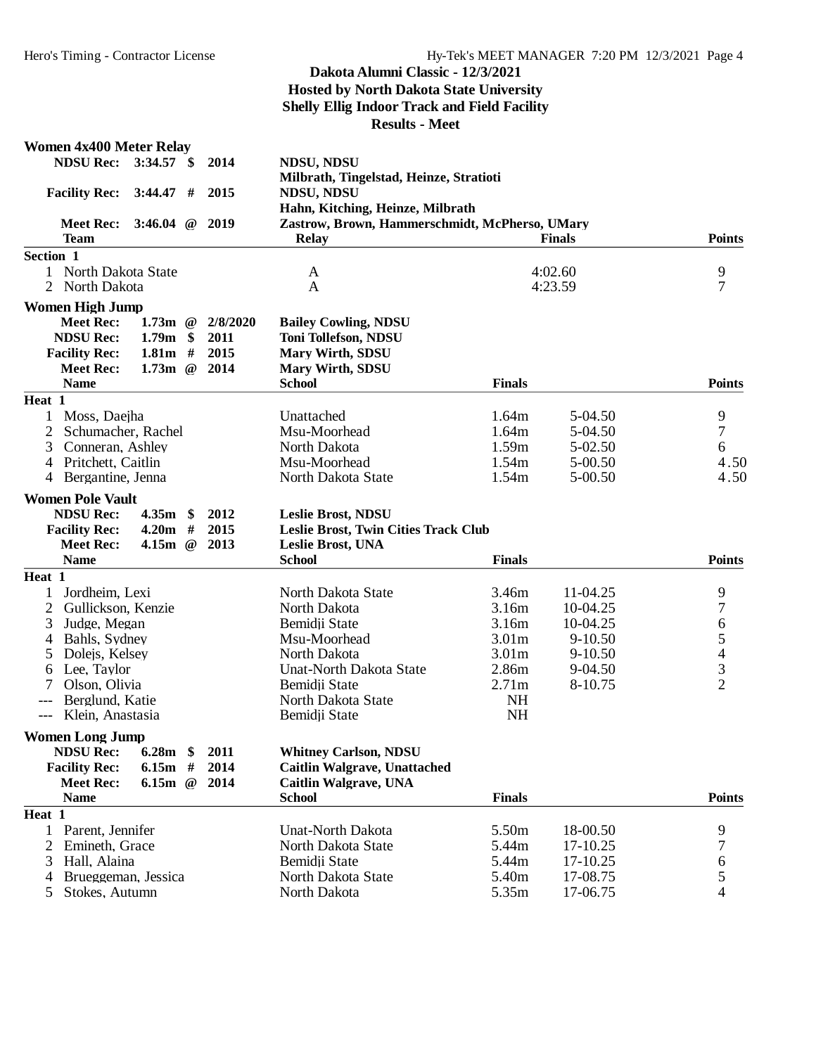| <b>NDSU Rec:</b><br>3:34.57<br>2014<br><b>NDSU, NDSU</b><br>$\mathbf{\$}$<br>Milbrath, Tingelstad, Heinze, Stratioti<br><b>NDSU, NDSU</b><br><b>Facility Rec:</b><br>3:44.47<br>#<br>2015<br>Hahn, Kitching, Heinze, Milbrath<br>3:46.04 $@$ 2019<br>Zastrow, Brown, Hammerschmidt, McPherso, UMary<br><b>Meet Rec:</b><br><b>Team</b><br><b>Relay</b><br><b>Points</b><br><b>Finals</b><br>Section 1<br>9<br>North Dakota State<br>1<br>4:02.60<br>A<br>7<br>$\overline{2}$<br>4:23.59<br>North Dakota<br>A<br><b>Women High Jump</b><br><b>Meet Rec:</b><br>1.73 $m \quad \textcircled{e}$<br>2/8/2020<br><b>Bailey Cowling, NDSU</b><br><b>NDSU Rec:</b><br>1.79 <sub>m</sub><br>\$<br>2011<br><b>Toni Tollefson, NDSU</b><br><b>Facility Rec:</b><br>1.81 <sub>m</sub><br>#<br>2015<br><b>Mary Wirth, SDSU</b><br><b>Meet Rec:</b><br>1.73m<br>$\omega$<br>2014<br><b>Mary Wirth, SDSU</b><br><b>Name</b><br><b>School</b><br><b>Finals</b><br><b>Points</b><br>Heat 1<br>9<br>Moss, Daejha<br>1<br>Unattached<br>1.64m<br>5-04.50<br>$\tau$<br>2<br>Schumacher, Rachel<br>Msu-Moorhead<br>1.64m<br>5-04.50<br>6<br>North Dakota<br>1.59m<br>$5 - 02.50$<br>3<br>Conneran, Ashley<br>Pritchett, Caitlin<br>Msu-Moorhead<br>1.54m<br>5-00.50<br>4.50<br>4<br>Bergantine, Jenna<br>1.54m<br>5-00.50<br>4.50<br>North Dakota State<br>4<br><b>Women Pole Vault</b><br>4.35m<br><b>NDSU Rec:</b><br>$\mathbf{\$}$<br>2012<br><b>Leslie Brost, NDSU</b><br>4.20m<br>#<br>2015<br>Leslie Brost, Twin Cities Track Club<br><b>Facility Rec:</b><br><b>Meet Rec:</b><br>2013<br>Leslie Brost, UNA<br><b>Name</b><br><b>School</b><br><b>Finals</b><br><b>Points</b><br>Heat 1<br>Jordheim, Lexi<br>3.46m<br>9<br>North Dakota State<br>11-04.25<br>1<br>7<br>$\overline{2}$<br>Gullickson, Kenzie<br>North Dakota<br>3.16m<br>10-04.25<br>6<br>3<br>Bemidji State<br>3.16m<br>10-04.25<br>Judge, Megan<br>5<br>3.01 <sub>m</sub><br>$9 - 10.50$<br>Bahls, Sydney<br>Msu-Moorhead<br>4<br>$\overline{\mathcal{L}}$<br>North Dakota<br>3.01 <sub>m</sub><br>$9 - 10.50$<br>Dolejs, Kelsey<br>5<br>3<br>2.86m<br><b>Unat-North Dakota State</b><br>Lee, Taylor<br>9-04.50<br>6<br>$\overline{2}$<br>2.71m<br>Bemidji State<br>8-10.75<br>7<br>Olson, Olivia<br>Berglund, Katie<br>North Dakota State<br><b>NH</b><br><b>NH</b><br>Bemidji State<br>Klein, Anastasia<br>$---$<br><b>Women Long Jump</b><br><b>NDSU Rec:</b><br><b>Whitney Carlson, NDSU</b><br>6.28m<br>\$<br>2011<br>2014<br><b>Caitlin Walgrave, Unattached</b><br><b>Facility Rec:</b><br>6.15m<br>#<br><b>Meet Rec:</b><br>6.15m<br>2014<br><b>Caitlin Walgrave, UNA</b><br>$^{\,}$<br><b>School</b><br><b>Finals</b><br><b>Points</b><br><b>Name</b><br>Heat 1<br>5.50m<br>18-00.50<br>9<br>1<br>Parent, Jennifer<br><b>Unat-North Dakota</b><br>7<br>$\overline{2}$<br>Emineth, Grace<br>5.44m<br>17-10.25<br>North Dakota State<br>$\boldsymbol{6}$<br>3<br>Hall, Alaina<br>Bemidji State<br>5.44m<br>17-10.25<br>5<br>North Dakota State<br>5.40m<br>17-08.75<br>Brueggeman, Jessica<br>4 | <b>Women 4x400 Meter Relay</b> |  |              |       |          |   |
|-----------------------------------------------------------------------------------------------------------------------------------------------------------------------------------------------------------------------------------------------------------------------------------------------------------------------------------------------------------------------------------------------------------------------------------------------------------------------------------------------------------------------------------------------------------------------------------------------------------------------------------------------------------------------------------------------------------------------------------------------------------------------------------------------------------------------------------------------------------------------------------------------------------------------------------------------------------------------------------------------------------------------------------------------------------------------------------------------------------------------------------------------------------------------------------------------------------------------------------------------------------------------------------------------------------------------------------------------------------------------------------------------------------------------------------------------------------------------------------------------------------------------------------------------------------------------------------------------------------------------------------------------------------------------------------------------------------------------------------------------------------------------------------------------------------------------------------------------------------------------------------------------------------------------------------------------------------------------------------------------------------------------------------------------------------------------------------------------------------------------------------------------------------------------------------------------------------------------------------------------------------------------------------------------------------------------------------------------------------------------------------------------------------------------------------------------------------------------------------------------------------------------------------------------------------------------------------------------------------------------------------------------------------------------------------------------------------------------------------------------------------------------------------------------------------------------------------------------------------------------------------------------------------------------------------------------------------------------------------------------------------------------------------------------------------|--------------------------------|--|--------------|-------|----------|---|
|                                                                                                                                                                                                                                                                                                                                                                                                                                                                                                                                                                                                                                                                                                                                                                                                                                                                                                                                                                                                                                                                                                                                                                                                                                                                                                                                                                                                                                                                                                                                                                                                                                                                                                                                                                                                                                                                                                                                                                                                                                                                                                                                                                                                                                                                                                                                                                                                                                                                                                                                                                                                                                                                                                                                                                                                                                                                                                                                                                                                                                                           |                                |  |              |       |          |   |
|                                                                                                                                                                                                                                                                                                                                                                                                                                                                                                                                                                                                                                                                                                                                                                                                                                                                                                                                                                                                                                                                                                                                                                                                                                                                                                                                                                                                                                                                                                                                                                                                                                                                                                                                                                                                                                                                                                                                                                                                                                                                                                                                                                                                                                                                                                                                                                                                                                                                                                                                                                                                                                                                                                                                                                                                                                                                                                                                                                                                                                                           |                                |  |              |       |          |   |
|                                                                                                                                                                                                                                                                                                                                                                                                                                                                                                                                                                                                                                                                                                                                                                                                                                                                                                                                                                                                                                                                                                                                                                                                                                                                                                                                                                                                                                                                                                                                                                                                                                                                                                                                                                                                                                                                                                                                                                                                                                                                                                                                                                                                                                                                                                                                                                                                                                                                                                                                                                                                                                                                                                                                                                                                                                                                                                                                                                                                                                                           |                                |  |              |       |          |   |
|                                                                                                                                                                                                                                                                                                                                                                                                                                                                                                                                                                                                                                                                                                                                                                                                                                                                                                                                                                                                                                                                                                                                                                                                                                                                                                                                                                                                                                                                                                                                                                                                                                                                                                                                                                                                                                                                                                                                                                                                                                                                                                                                                                                                                                                                                                                                                                                                                                                                                                                                                                                                                                                                                                                                                                                                                                                                                                                                                                                                                                                           |                                |  |              |       |          |   |
|                                                                                                                                                                                                                                                                                                                                                                                                                                                                                                                                                                                                                                                                                                                                                                                                                                                                                                                                                                                                                                                                                                                                                                                                                                                                                                                                                                                                                                                                                                                                                                                                                                                                                                                                                                                                                                                                                                                                                                                                                                                                                                                                                                                                                                                                                                                                                                                                                                                                                                                                                                                                                                                                                                                                                                                                                                                                                                                                                                                                                                                           |                                |  |              |       |          |   |
|                                                                                                                                                                                                                                                                                                                                                                                                                                                                                                                                                                                                                                                                                                                                                                                                                                                                                                                                                                                                                                                                                                                                                                                                                                                                                                                                                                                                                                                                                                                                                                                                                                                                                                                                                                                                                                                                                                                                                                                                                                                                                                                                                                                                                                                                                                                                                                                                                                                                                                                                                                                                                                                                                                                                                                                                                                                                                                                                                                                                                                                           |                                |  |              |       |          |   |
|                                                                                                                                                                                                                                                                                                                                                                                                                                                                                                                                                                                                                                                                                                                                                                                                                                                                                                                                                                                                                                                                                                                                                                                                                                                                                                                                                                                                                                                                                                                                                                                                                                                                                                                                                                                                                                                                                                                                                                                                                                                                                                                                                                                                                                                                                                                                                                                                                                                                                                                                                                                                                                                                                                                                                                                                                                                                                                                                                                                                                                                           |                                |  |              |       |          |   |
|                                                                                                                                                                                                                                                                                                                                                                                                                                                                                                                                                                                                                                                                                                                                                                                                                                                                                                                                                                                                                                                                                                                                                                                                                                                                                                                                                                                                                                                                                                                                                                                                                                                                                                                                                                                                                                                                                                                                                                                                                                                                                                                                                                                                                                                                                                                                                                                                                                                                                                                                                                                                                                                                                                                                                                                                                                                                                                                                                                                                                                                           |                                |  |              |       |          |   |
|                                                                                                                                                                                                                                                                                                                                                                                                                                                                                                                                                                                                                                                                                                                                                                                                                                                                                                                                                                                                                                                                                                                                                                                                                                                                                                                                                                                                                                                                                                                                                                                                                                                                                                                                                                                                                                                                                                                                                                                                                                                                                                                                                                                                                                                                                                                                                                                                                                                                                                                                                                                                                                                                                                                                                                                                                                                                                                                                                                                                                                                           |                                |  |              |       |          |   |
|                                                                                                                                                                                                                                                                                                                                                                                                                                                                                                                                                                                                                                                                                                                                                                                                                                                                                                                                                                                                                                                                                                                                                                                                                                                                                                                                                                                                                                                                                                                                                                                                                                                                                                                                                                                                                                                                                                                                                                                                                                                                                                                                                                                                                                                                                                                                                                                                                                                                                                                                                                                                                                                                                                                                                                                                                                                                                                                                                                                                                                                           |                                |  |              |       |          |   |
|                                                                                                                                                                                                                                                                                                                                                                                                                                                                                                                                                                                                                                                                                                                                                                                                                                                                                                                                                                                                                                                                                                                                                                                                                                                                                                                                                                                                                                                                                                                                                                                                                                                                                                                                                                                                                                                                                                                                                                                                                                                                                                                                                                                                                                                                                                                                                                                                                                                                                                                                                                                                                                                                                                                                                                                                                                                                                                                                                                                                                                                           |                                |  |              |       |          |   |
|                                                                                                                                                                                                                                                                                                                                                                                                                                                                                                                                                                                                                                                                                                                                                                                                                                                                                                                                                                                                                                                                                                                                                                                                                                                                                                                                                                                                                                                                                                                                                                                                                                                                                                                                                                                                                                                                                                                                                                                                                                                                                                                                                                                                                                                                                                                                                                                                                                                                                                                                                                                                                                                                                                                                                                                                                                                                                                                                                                                                                                                           |                                |  |              |       |          |   |
|                                                                                                                                                                                                                                                                                                                                                                                                                                                                                                                                                                                                                                                                                                                                                                                                                                                                                                                                                                                                                                                                                                                                                                                                                                                                                                                                                                                                                                                                                                                                                                                                                                                                                                                                                                                                                                                                                                                                                                                                                                                                                                                                                                                                                                                                                                                                                                                                                                                                                                                                                                                                                                                                                                                                                                                                                                                                                                                                                                                                                                                           |                                |  |              |       |          |   |
|                                                                                                                                                                                                                                                                                                                                                                                                                                                                                                                                                                                                                                                                                                                                                                                                                                                                                                                                                                                                                                                                                                                                                                                                                                                                                                                                                                                                                                                                                                                                                                                                                                                                                                                                                                                                                                                                                                                                                                                                                                                                                                                                                                                                                                                                                                                                                                                                                                                                                                                                                                                                                                                                                                                                                                                                                                                                                                                                                                                                                                                           |                                |  |              |       |          |   |
|                                                                                                                                                                                                                                                                                                                                                                                                                                                                                                                                                                                                                                                                                                                                                                                                                                                                                                                                                                                                                                                                                                                                                                                                                                                                                                                                                                                                                                                                                                                                                                                                                                                                                                                                                                                                                                                                                                                                                                                                                                                                                                                                                                                                                                                                                                                                                                                                                                                                                                                                                                                                                                                                                                                                                                                                                                                                                                                                                                                                                                                           |                                |  |              |       |          |   |
|                                                                                                                                                                                                                                                                                                                                                                                                                                                                                                                                                                                                                                                                                                                                                                                                                                                                                                                                                                                                                                                                                                                                                                                                                                                                                                                                                                                                                                                                                                                                                                                                                                                                                                                                                                                                                                                                                                                                                                                                                                                                                                                                                                                                                                                                                                                                                                                                                                                                                                                                                                                                                                                                                                                                                                                                                                                                                                                                                                                                                                                           |                                |  |              |       |          |   |
|                                                                                                                                                                                                                                                                                                                                                                                                                                                                                                                                                                                                                                                                                                                                                                                                                                                                                                                                                                                                                                                                                                                                                                                                                                                                                                                                                                                                                                                                                                                                                                                                                                                                                                                                                                                                                                                                                                                                                                                                                                                                                                                                                                                                                                                                                                                                                                                                                                                                                                                                                                                                                                                                                                                                                                                                                                                                                                                                                                                                                                                           |                                |  |              |       |          |   |
|                                                                                                                                                                                                                                                                                                                                                                                                                                                                                                                                                                                                                                                                                                                                                                                                                                                                                                                                                                                                                                                                                                                                                                                                                                                                                                                                                                                                                                                                                                                                                                                                                                                                                                                                                                                                                                                                                                                                                                                                                                                                                                                                                                                                                                                                                                                                                                                                                                                                                                                                                                                                                                                                                                                                                                                                                                                                                                                                                                                                                                                           |                                |  |              |       |          |   |
|                                                                                                                                                                                                                                                                                                                                                                                                                                                                                                                                                                                                                                                                                                                                                                                                                                                                                                                                                                                                                                                                                                                                                                                                                                                                                                                                                                                                                                                                                                                                                                                                                                                                                                                                                                                                                                                                                                                                                                                                                                                                                                                                                                                                                                                                                                                                                                                                                                                                                                                                                                                                                                                                                                                                                                                                                                                                                                                                                                                                                                                           |                                |  |              |       |          |   |
|                                                                                                                                                                                                                                                                                                                                                                                                                                                                                                                                                                                                                                                                                                                                                                                                                                                                                                                                                                                                                                                                                                                                                                                                                                                                                                                                                                                                                                                                                                                                                                                                                                                                                                                                                                                                                                                                                                                                                                                                                                                                                                                                                                                                                                                                                                                                                                                                                                                                                                                                                                                                                                                                                                                                                                                                                                                                                                                                                                                                                                                           |                                |  |              |       |          |   |
|                                                                                                                                                                                                                                                                                                                                                                                                                                                                                                                                                                                                                                                                                                                                                                                                                                                                                                                                                                                                                                                                                                                                                                                                                                                                                                                                                                                                                                                                                                                                                                                                                                                                                                                                                                                                                                                                                                                                                                                                                                                                                                                                                                                                                                                                                                                                                                                                                                                                                                                                                                                                                                                                                                                                                                                                                                                                                                                                                                                                                                                           |                                |  |              |       |          |   |
|                                                                                                                                                                                                                                                                                                                                                                                                                                                                                                                                                                                                                                                                                                                                                                                                                                                                                                                                                                                                                                                                                                                                                                                                                                                                                                                                                                                                                                                                                                                                                                                                                                                                                                                                                                                                                                                                                                                                                                                                                                                                                                                                                                                                                                                                                                                                                                                                                                                                                                                                                                                                                                                                                                                                                                                                                                                                                                                                                                                                                                                           |                                |  |              |       |          |   |
|                                                                                                                                                                                                                                                                                                                                                                                                                                                                                                                                                                                                                                                                                                                                                                                                                                                                                                                                                                                                                                                                                                                                                                                                                                                                                                                                                                                                                                                                                                                                                                                                                                                                                                                                                                                                                                                                                                                                                                                                                                                                                                                                                                                                                                                                                                                                                                                                                                                                                                                                                                                                                                                                                                                                                                                                                                                                                                                                                                                                                                                           |                                |  |              |       |          |   |
|                                                                                                                                                                                                                                                                                                                                                                                                                                                                                                                                                                                                                                                                                                                                                                                                                                                                                                                                                                                                                                                                                                                                                                                                                                                                                                                                                                                                                                                                                                                                                                                                                                                                                                                                                                                                                                                                                                                                                                                                                                                                                                                                                                                                                                                                                                                                                                                                                                                                                                                                                                                                                                                                                                                                                                                                                                                                                                                                                                                                                                                           |                                |  |              |       |          |   |
|                                                                                                                                                                                                                                                                                                                                                                                                                                                                                                                                                                                                                                                                                                                                                                                                                                                                                                                                                                                                                                                                                                                                                                                                                                                                                                                                                                                                                                                                                                                                                                                                                                                                                                                                                                                                                                                                                                                                                                                                                                                                                                                                                                                                                                                                                                                                                                                                                                                                                                                                                                                                                                                                                                                                                                                                                                                                                                                                                                                                                                                           |                                |  |              |       |          |   |
|                                                                                                                                                                                                                                                                                                                                                                                                                                                                                                                                                                                                                                                                                                                                                                                                                                                                                                                                                                                                                                                                                                                                                                                                                                                                                                                                                                                                                                                                                                                                                                                                                                                                                                                                                                                                                                                                                                                                                                                                                                                                                                                                                                                                                                                                                                                                                                                                                                                                                                                                                                                                                                                                                                                                                                                                                                                                                                                                                                                                                                                           |                                |  |              |       |          |   |
|                                                                                                                                                                                                                                                                                                                                                                                                                                                                                                                                                                                                                                                                                                                                                                                                                                                                                                                                                                                                                                                                                                                                                                                                                                                                                                                                                                                                                                                                                                                                                                                                                                                                                                                                                                                                                                                                                                                                                                                                                                                                                                                                                                                                                                                                                                                                                                                                                                                                                                                                                                                                                                                                                                                                                                                                                                                                                                                                                                                                                                                           |                                |  |              |       |          |   |
|                                                                                                                                                                                                                                                                                                                                                                                                                                                                                                                                                                                                                                                                                                                                                                                                                                                                                                                                                                                                                                                                                                                                                                                                                                                                                                                                                                                                                                                                                                                                                                                                                                                                                                                                                                                                                                                                                                                                                                                                                                                                                                                                                                                                                                                                                                                                                                                                                                                                                                                                                                                                                                                                                                                                                                                                                                                                                                                                                                                                                                                           |                                |  |              |       |          |   |
|                                                                                                                                                                                                                                                                                                                                                                                                                                                                                                                                                                                                                                                                                                                                                                                                                                                                                                                                                                                                                                                                                                                                                                                                                                                                                                                                                                                                                                                                                                                                                                                                                                                                                                                                                                                                                                                                                                                                                                                                                                                                                                                                                                                                                                                                                                                                                                                                                                                                                                                                                                                                                                                                                                                                                                                                                                                                                                                                                                                                                                                           |                                |  |              |       |          |   |
|                                                                                                                                                                                                                                                                                                                                                                                                                                                                                                                                                                                                                                                                                                                                                                                                                                                                                                                                                                                                                                                                                                                                                                                                                                                                                                                                                                                                                                                                                                                                                                                                                                                                                                                                                                                                                                                                                                                                                                                                                                                                                                                                                                                                                                                                                                                                                                                                                                                                                                                                                                                                                                                                                                                                                                                                                                                                                                                                                                                                                                                           |                                |  |              |       |          |   |
|                                                                                                                                                                                                                                                                                                                                                                                                                                                                                                                                                                                                                                                                                                                                                                                                                                                                                                                                                                                                                                                                                                                                                                                                                                                                                                                                                                                                                                                                                                                                                                                                                                                                                                                                                                                                                                                                                                                                                                                                                                                                                                                                                                                                                                                                                                                                                                                                                                                                                                                                                                                                                                                                                                                                                                                                                                                                                                                                                                                                                                                           |                                |  |              |       |          |   |
|                                                                                                                                                                                                                                                                                                                                                                                                                                                                                                                                                                                                                                                                                                                                                                                                                                                                                                                                                                                                                                                                                                                                                                                                                                                                                                                                                                                                                                                                                                                                                                                                                                                                                                                                                                                                                                                                                                                                                                                                                                                                                                                                                                                                                                                                                                                                                                                                                                                                                                                                                                                                                                                                                                                                                                                                                                                                                                                                                                                                                                                           |                                |  |              |       |          |   |
|                                                                                                                                                                                                                                                                                                                                                                                                                                                                                                                                                                                                                                                                                                                                                                                                                                                                                                                                                                                                                                                                                                                                                                                                                                                                                                                                                                                                                                                                                                                                                                                                                                                                                                                                                                                                                                                                                                                                                                                                                                                                                                                                                                                                                                                                                                                                                                                                                                                                                                                                                                                                                                                                                                                                                                                                                                                                                                                                                                                                                                                           |                                |  |              |       |          |   |
|                                                                                                                                                                                                                                                                                                                                                                                                                                                                                                                                                                                                                                                                                                                                                                                                                                                                                                                                                                                                                                                                                                                                                                                                                                                                                                                                                                                                                                                                                                                                                                                                                                                                                                                                                                                                                                                                                                                                                                                                                                                                                                                                                                                                                                                                                                                                                                                                                                                                                                                                                                                                                                                                                                                                                                                                                                                                                                                                                                                                                                                           |                                |  |              |       |          |   |
|                                                                                                                                                                                                                                                                                                                                                                                                                                                                                                                                                                                                                                                                                                                                                                                                                                                                                                                                                                                                                                                                                                                                                                                                                                                                                                                                                                                                                                                                                                                                                                                                                                                                                                                                                                                                                                                                                                                                                                                                                                                                                                                                                                                                                                                                                                                                                                                                                                                                                                                                                                                                                                                                                                                                                                                                                                                                                                                                                                                                                                                           |                                |  |              |       |          |   |
|                                                                                                                                                                                                                                                                                                                                                                                                                                                                                                                                                                                                                                                                                                                                                                                                                                                                                                                                                                                                                                                                                                                                                                                                                                                                                                                                                                                                                                                                                                                                                                                                                                                                                                                                                                                                                                                                                                                                                                                                                                                                                                                                                                                                                                                                                                                                                                                                                                                                                                                                                                                                                                                                                                                                                                                                                                                                                                                                                                                                                                                           |                                |  |              |       |          |   |
|                                                                                                                                                                                                                                                                                                                                                                                                                                                                                                                                                                                                                                                                                                                                                                                                                                                                                                                                                                                                                                                                                                                                                                                                                                                                                                                                                                                                                                                                                                                                                                                                                                                                                                                                                                                                                                                                                                                                                                                                                                                                                                                                                                                                                                                                                                                                                                                                                                                                                                                                                                                                                                                                                                                                                                                                                                                                                                                                                                                                                                                           |                                |  |              |       |          |   |
|                                                                                                                                                                                                                                                                                                                                                                                                                                                                                                                                                                                                                                                                                                                                                                                                                                                                                                                                                                                                                                                                                                                                                                                                                                                                                                                                                                                                                                                                                                                                                                                                                                                                                                                                                                                                                                                                                                                                                                                                                                                                                                                                                                                                                                                                                                                                                                                                                                                                                                                                                                                                                                                                                                                                                                                                                                                                                                                                                                                                                                                           |                                |  |              |       |          |   |
|                                                                                                                                                                                                                                                                                                                                                                                                                                                                                                                                                                                                                                                                                                                                                                                                                                                                                                                                                                                                                                                                                                                                                                                                                                                                                                                                                                                                                                                                                                                                                                                                                                                                                                                                                                                                                                                                                                                                                                                                                                                                                                                                                                                                                                                                                                                                                                                                                                                                                                                                                                                                                                                                                                                                                                                                                                                                                                                                                                                                                                                           |                                |  |              |       |          |   |
|                                                                                                                                                                                                                                                                                                                                                                                                                                                                                                                                                                                                                                                                                                                                                                                                                                                                                                                                                                                                                                                                                                                                                                                                                                                                                                                                                                                                                                                                                                                                                                                                                                                                                                                                                                                                                                                                                                                                                                                                                                                                                                                                                                                                                                                                                                                                                                                                                                                                                                                                                                                                                                                                                                                                                                                                                                                                                                                                                                                                                                                           |                                |  |              |       |          |   |
|                                                                                                                                                                                                                                                                                                                                                                                                                                                                                                                                                                                                                                                                                                                                                                                                                                                                                                                                                                                                                                                                                                                                                                                                                                                                                                                                                                                                                                                                                                                                                                                                                                                                                                                                                                                                                                                                                                                                                                                                                                                                                                                                                                                                                                                                                                                                                                                                                                                                                                                                                                                                                                                                                                                                                                                                                                                                                                                                                                                                                                                           |                                |  |              |       |          |   |
|                                                                                                                                                                                                                                                                                                                                                                                                                                                                                                                                                                                                                                                                                                                                                                                                                                                                                                                                                                                                                                                                                                                                                                                                                                                                                                                                                                                                                                                                                                                                                                                                                                                                                                                                                                                                                                                                                                                                                                                                                                                                                                                                                                                                                                                                                                                                                                                                                                                                                                                                                                                                                                                                                                                                                                                                                                                                                                                                                                                                                                                           |                                |  |              |       |          |   |
|                                                                                                                                                                                                                                                                                                                                                                                                                                                                                                                                                                                                                                                                                                                                                                                                                                                                                                                                                                                                                                                                                                                                                                                                                                                                                                                                                                                                                                                                                                                                                                                                                                                                                                                                                                                                                                                                                                                                                                                                                                                                                                                                                                                                                                                                                                                                                                                                                                                                                                                                                                                                                                                                                                                                                                                                                                                                                                                                                                                                                                                           |                                |  |              |       |          |   |
|                                                                                                                                                                                                                                                                                                                                                                                                                                                                                                                                                                                                                                                                                                                                                                                                                                                                                                                                                                                                                                                                                                                                                                                                                                                                                                                                                                                                                                                                                                                                                                                                                                                                                                                                                                                                                                                                                                                                                                                                                                                                                                                                                                                                                                                                                                                                                                                                                                                                                                                                                                                                                                                                                                                                                                                                                                                                                                                                                                                                                                                           |                                |  |              |       |          |   |
|                                                                                                                                                                                                                                                                                                                                                                                                                                                                                                                                                                                                                                                                                                                                                                                                                                                                                                                                                                                                                                                                                                                                                                                                                                                                                                                                                                                                                                                                                                                                                                                                                                                                                                                                                                                                                                                                                                                                                                                                                                                                                                                                                                                                                                                                                                                                                                                                                                                                                                                                                                                                                                                                                                                                                                                                                                                                                                                                                                                                                                                           |                                |  |              |       |          |   |
|                                                                                                                                                                                                                                                                                                                                                                                                                                                                                                                                                                                                                                                                                                                                                                                                                                                                                                                                                                                                                                                                                                                                                                                                                                                                                                                                                                                                                                                                                                                                                                                                                                                                                                                                                                                                                                                                                                                                                                                                                                                                                                                                                                                                                                                                                                                                                                                                                                                                                                                                                                                                                                                                                                                                                                                                                                                                                                                                                                                                                                                           | Stokes, Autumn<br>5            |  | North Dakota | 5.35m | 17-06.75 | 4 |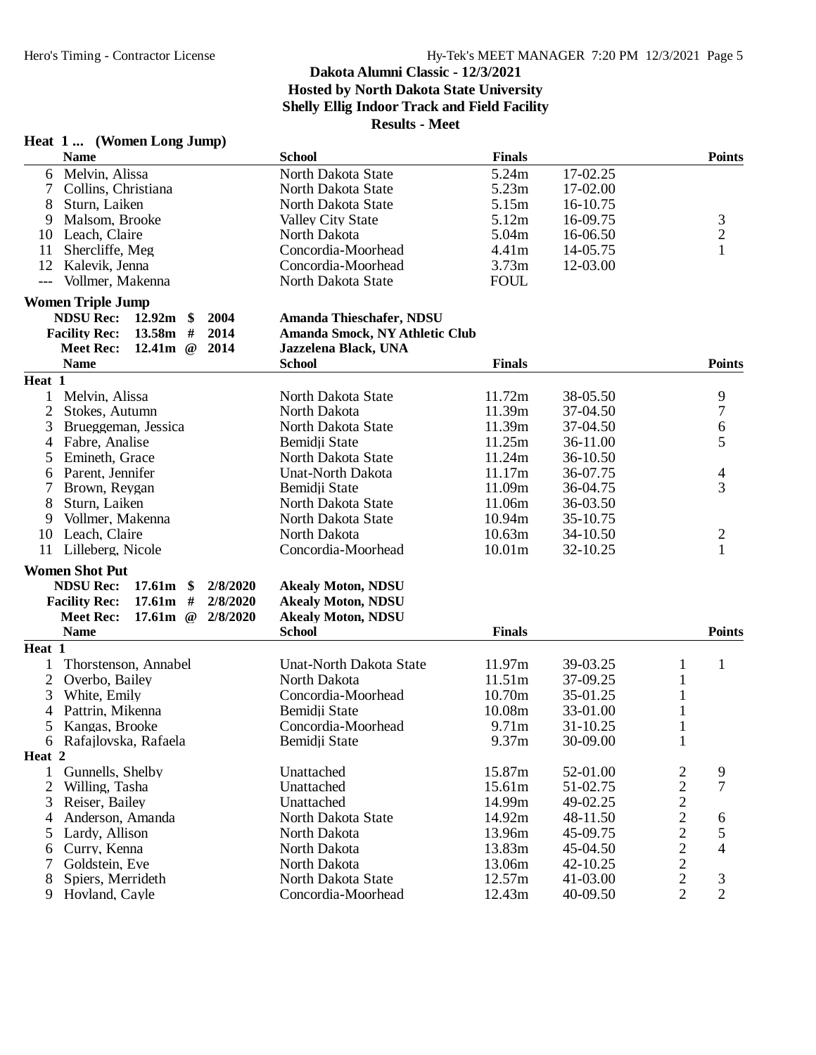# **Heat 1 ... (Women Long Jump)**

# **Dakota Alumni Classic - 12/3/2021 Hosted by North Dakota State University Shelly Ellig Indoor Track and Field Facility Results - Meet**

| 5.24m<br>Melvin, Alissa<br>17-02.25<br>North Dakota State<br>6<br>5.23m<br>Collins, Christiana<br>17-02.00<br>North Dakota State<br>7<br>8<br>Sturn, Laiken<br>North Dakota State<br>5.15m<br>16-10.75<br>3<br>5.12m<br>16-09.75<br>Malsom, Brooke<br><b>Valley City State</b><br>9<br>$\overline{c}$<br>5.04m<br>16-06.50<br>10<br>Leach, Claire<br>North Dakota<br>$\mathbf{1}$<br>Shercliffe, Meg<br>Concordia-Moorhead<br>4.41m<br>14-05.75<br>11<br>12<br>Concordia-Moorhead<br>3.73m<br>12-03.00<br>Kalevik, Jenna<br><b>FOUL</b><br>Vollmer, Makenna<br>North Dakota State<br>$---$<br><b>Women Triple Jump</b><br><b>NDSU Rec:</b><br>12.92m<br>2004<br>$\boldsymbol{\$}$<br>Amanda Thieschafer, NDSU<br><b>Facility Rec:</b><br>13.58m<br>#<br>2014<br>Amanda Smock, NY Athletic Club<br>12.41m<br>2014<br><b>Meet Rec:</b><br>$\omega$<br>Jazzelena Black, UNA<br><b>Name</b><br><b>Finals</b><br><b>Points</b><br><b>School</b><br>Heat 1<br>9<br>1<br>Melvin, Alissa<br>11.72m<br>38-05.50<br>North Dakota State<br>$\overline{7}$<br>$\overline{2}$<br>North Dakota<br>11.39m<br>37-04.50<br>Stokes, Autumn<br>6<br>3<br>11.39m<br>37-04.50<br>Brueggeman, Jessica<br>North Dakota State<br>5<br>Fabre, Analise<br>Bemidji State<br>11.25m<br>36-11.00<br>4<br>11.24m<br>5<br>Emineth, Grace<br>North Dakota State<br>36-10.50<br>Parent, Jennifer<br>11.17m<br><b>Unat-North Dakota</b><br>36-07.75<br>4<br>6<br>3<br>Brown, Reygan<br>11.09m<br>Bemidji State<br>36-04.75<br>7<br>8<br>Sturn, Laiken<br>11.06m<br>North Dakota State<br>36-03.50<br>Vollmer, Makenna<br>North Dakota State<br>10.94m<br>35-10.75<br>9<br>North Dakota<br>10.63m<br>$\overline{\mathbf{c}}$<br>10<br>Leach, Claire<br>34-10.50<br>$\mathbf{1}$<br>Lilleberg, Nicole<br>Concordia-Moorhead<br>10.01m<br>11<br>32-10.25<br><b>Women Shot Put</b><br><b>NDSU Rec:</b><br>17.61m<br>$\boldsymbol{\$}$<br>2/8/2020<br><b>Akealy Moton, NDSU</b><br>$17.61m$ #<br>2/8/2020<br><b>Akealy Moton, NDSU</b><br><b>Facility Rec:</b><br>17.61 $m \quad \textcircled{e}$<br>2/8/2020<br><b>Akealy Moton, NDSU</b><br><b>Meet Rec:</b><br><b>Name</b><br><b>Finals</b><br><b>Points</b><br><b>School</b><br>Heat 1<br>11.97m<br>Thorstenson, Annabel<br><b>Unat-North Dakota State</b><br>39-03.25<br>$\mathbf{1}$<br>1<br>1<br>$\overline{c}$<br>North Dakota<br>11.51m<br>1<br>Overbo, Bailey<br>37-09.25<br>Concordia-Moorhead<br>10.70m<br>35-01.25<br>3<br>White, Emily<br>1<br>Pattrin, Mikenna<br>Bemidji State<br>10.08m<br>33-01.00<br>1<br>4<br>Kangas, Brooke<br>5<br>Concordia-Moorhead<br>9.71 <sub>m</sub><br>31-10.25<br>1<br>9.37 <sub>m</sub><br>30-09.00<br>6<br>Rafajlovska, Rafaela<br>Bemidji State<br>Heat 2<br>15.87m<br>$\frac{2}{2}$<br>9<br>Gunnells, Shelby<br>Unattached<br>52-01.00<br>1<br>$\overline{7}$<br>$\overline{c}$<br>15.61m<br>51-02.75<br>Willing, Tasha<br>Unattached<br>$\begin{array}{c}\n2 \\ 2 \\ 2 \\ 2\n\end{array}$<br>3<br>Reiser, Bailey<br>14.99m<br>49-02.25<br>Unattached<br>Anderson, Amanda<br>North Dakota State<br>14.92m<br>48-11.50<br>6<br>4<br>5<br>13.96m<br>45-09.75<br>Lardy, Allison<br>North Dakota<br>5<br>4<br>Curry, Kenna<br>13.83m<br>North Dakota<br>45-04.50<br>6<br>Goldstein, Eve<br>13.06m<br>North Dakota<br>42-10.25<br>7<br>$\overline{c}$<br>Spiers, Merrideth<br>North Dakota State<br>12.57m<br>41-03.00<br>3<br>8<br>$\overline{2}$<br>$\overline{2}$<br>12.43m<br>9<br>Hovland, Cayle<br>Concordia-Moorhead<br>40-09.50 | <b>Name</b> | <b>School</b> | <b>Finals</b> |  | <b>Points</b> |
|-----------------------------------------------------------------------------------------------------------------------------------------------------------------------------------------------------------------------------------------------------------------------------------------------------------------------------------------------------------------------------------------------------------------------------------------------------------------------------------------------------------------------------------------------------------------------------------------------------------------------------------------------------------------------------------------------------------------------------------------------------------------------------------------------------------------------------------------------------------------------------------------------------------------------------------------------------------------------------------------------------------------------------------------------------------------------------------------------------------------------------------------------------------------------------------------------------------------------------------------------------------------------------------------------------------------------------------------------------------------------------------------------------------------------------------------------------------------------------------------------------------------------------------------------------------------------------------------------------------------------------------------------------------------------------------------------------------------------------------------------------------------------------------------------------------------------------------------------------------------------------------------------------------------------------------------------------------------------------------------------------------------------------------------------------------------------------------------------------------------------------------------------------------------------------------------------------------------------------------------------------------------------------------------------------------------------------------------------------------------------------------------------------------------------------------------------------------------------------------------------------------------------------------------------------------------------------------------------------------------------------------------------------------------------------------------------------------------------------------------------------------------------------------------------------------------------------------------------------------------------------------------------------------------------------------------------------------------------------------------------------------------------------------------------------------------------------------------------------------------------------------------------------------------------------------------------------------------------------------------------------------------------------------------------------------------------------------------------------------------------------------------------------------------------------------------------------------------------------------------------|-------------|---------------|---------------|--|---------------|
|                                                                                                                                                                                                                                                                                                                                                                                                                                                                                                                                                                                                                                                                                                                                                                                                                                                                                                                                                                                                                                                                                                                                                                                                                                                                                                                                                                                                                                                                                                                                                                                                                                                                                                                                                                                                                                                                                                                                                                                                                                                                                                                                                                                                                                                                                                                                                                                                                                                                                                                                                                                                                                                                                                                                                                                                                                                                                                                                                                                                                                                                                                                                                                                                                                                                                                                                                                                                                                                                                               |             |               |               |  |               |
|                                                                                                                                                                                                                                                                                                                                                                                                                                                                                                                                                                                                                                                                                                                                                                                                                                                                                                                                                                                                                                                                                                                                                                                                                                                                                                                                                                                                                                                                                                                                                                                                                                                                                                                                                                                                                                                                                                                                                                                                                                                                                                                                                                                                                                                                                                                                                                                                                                                                                                                                                                                                                                                                                                                                                                                                                                                                                                                                                                                                                                                                                                                                                                                                                                                                                                                                                                                                                                                                                               |             |               |               |  |               |
|                                                                                                                                                                                                                                                                                                                                                                                                                                                                                                                                                                                                                                                                                                                                                                                                                                                                                                                                                                                                                                                                                                                                                                                                                                                                                                                                                                                                                                                                                                                                                                                                                                                                                                                                                                                                                                                                                                                                                                                                                                                                                                                                                                                                                                                                                                                                                                                                                                                                                                                                                                                                                                                                                                                                                                                                                                                                                                                                                                                                                                                                                                                                                                                                                                                                                                                                                                                                                                                                                               |             |               |               |  |               |
|                                                                                                                                                                                                                                                                                                                                                                                                                                                                                                                                                                                                                                                                                                                                                                                                                                                                                                                                                                                                                                                                                                                                                                                                                                                                                                                                                                                                                                                                                                                                                                                                                                                                                                                                                                                                                                                                                                                                                                                                                                                                                                                                                                                                                                                                                                                                                                                                                                                                                                                                                                                                                                                                                                                                                                                                                                                                                                                                                                                                                                                                                                                                                                                                                                                                                                                                                                                                                                                                                               |             |               |               |  |               |
|                                                                                                                                                                                                                                                                                                                                                                                                                                                                                                                                                                                                                                                                                                                                                                                                                                                                                                                                                                                                                                                                                                                                                                                                                                                                                                                                                                                                                                                                                                                                                                                                                                                                                                                                                                                                                                                                                                                                                                                                                                                                                                                                                                                                                                                                                                                                                                                                                                                                                                                                                                                                                                                                                                                                                                                                                                                                                                                                                                                                                                                                                                                                                                                                                                                                                                                                                                                                                                                                                               |             |               |               |  |               |
|                                                                                                                                                                                                                                                                                                                                                                                                                                                                                                                                                                                                                                                                                                                                                                                                                                                                                                                                                                                                                                                                                                                                                                                                                                                                                                                                                                                                                                                                                                                                                                                                                                                                                                                                                                                                                                                                                                                                                                                                                                                                                                                                                                                                                                                                                                                                                                                                                                                                                                                                                                                                                                                                                                                                                                                                                                                                                                                                                                                                                                                                                                                                                                                                                                                                                                                                                                                                                                                                                               |             |               |               |  |               |
|                                                                                                                                                                                                                                                                                                                                                                                                                                                                                                                                                                                                                                                                                                                                                                                                                                                                                                                                                                                                                                                                                                                                                                                                                                                                                                                                                                                                                                                                                                                                                                                                                                                                                                                                                                                                                                                                                                                                                                                                                                                                                                                                                                                                                                                                                                                                                                                                                                                                                                                                                                                                                                                                                                                                                                                                                                                                                                                                                                                                                                                                                                                                                                                                                                                                                                                                                                                                                                                                                               |             |               |               |  |               |
|                                                                                                                                                                                                                                                                                                                                                                                                                                                                                                                                                                                                                                                                                                                                                                                                                                                                                                                                                                                                                                                                                                                                                                                                                                                                                                                                                                                                                                                                                                                                                                                                                                                                                                                                                                                                                                                                                                                                                                                                                                                                                                                                                                                                                                                                                                                                                                                                                                                                                                                                                                                                                                                                                                                                                                                                                                                                                                                                                                                                                                                                                                                                                                                                                                                                                                                                                                                                                                                                                               |             |               |               |  |               |
|                                                                                                                                                                                                                                                                                                                                                                                                                                                                                                                                                                                                                                                                                                                                                                                                                                                                                                                                                                                                                                                                                                                                                                                                                                                                                                                                                                                                                                                                                                                                                                                                                                                                                                                                                                                                                                                                                                                                                                                                                                                                                                                                                                                                                                                                                                                                                                                                                                                                                                                                                                                                                                                                                                                                                                                                                                                                                                                                                                                                                                                                                                                                                                                                                                                                                                                                                                                                                                                                                               |             |               |               |  |               |
|                                                                                                                                                                                                                                                                                                                                                                                                                                                                                                                                                                                                                                                                                                                                                                                                                                                                                                                                                                                                                                                                                                                                                                                                                                                                                                                                                                                                                                                                                                                                                                                                                                                                                                                                                                                                                                                                                                                                                                                                                                                                                                                                                                                                                                                                                                                                                                                                                                                                                                                                                                                                                                                                                                                                                                                                                                                                                                                                                                                                                                                                                                                                                                                                                                                                                                                                                                                                                                                                                               |             |               |               |  |               |
|                                                                                                                                                                                                                                                                                                                                                                                                                                                                                                                                                                                                                                                                                                                                                                                                                                                                                                                                                                                                                                                                                                                                                                                                                                                                                                                                                                                                                                                                                                                                                                                                                                                                                                                                                                                                                                                                                                                                                                                                                                                                                                                                                                                                                                                                                                                                                                                                                                                                                                                                                                                                                                                                                                                                                                                                                                                                                                                                                                                                                                                                                                                                                                                                                                                                                                                                                                                                                                                                                               |             |               |               |  |               |
|                                                                                                                                                                                                                                                                                                                                                                                                                                                                                                                                                                                                                                                                                                                                                                                                                                                                                                                                                                                                                                                                                                                                                                                                                                                                                                                                                                                                                                                                                                                                                                                                                                                                                                                                                                                                                                                                                                                                                                                                                                                                                                                                                                                                                                                                                                                                                                                                                                                                                                                                                                                                                                                                                                                                                                                                                                                                                                                                                                                                                                                                                                                                                                                                                                                                                                                                                                                                                                                                                               |             |               |               |  |               |
|                                                                                                                                                                                                                                                                                                                                                                                                                                                                                                                                                                                                                                                                                                                                                                                                                                                                                                                                                                                                                                                                                                                                                                                                                                                                                                                                                                                                                                                                                                                                                                                                                                                                                                                                                                                                                                                                                                                                                                                                                                                                                                                                                                                                                                                                                                                                                                                                                                                                                                                                                                                                                                                                                                                                                                                                                                                                                                                                                                                                                                                                                                                                                                                                                                                                                                                                                                                                                                                                                               |             |               |               |  |               |
|                                                                                                                                                                                                                                                                                                                                                                                                                                                                                                                                                                                                                                                                                                                                                                                                                                                                                                                                                                                                                                                                                                                                                                                                                                                                                                                                                                                                                                                                                                                                                                                                                                                                                                                                                                                                                                                                                                                                                                                                                                                                                                                                                                                                                                                                                                                                                                                                                                                                                                                                                                                                                                                                                                                                                                                                                                                                                                                                                                                                                                                                                                                                                                                                                                                                                                                                                                                                                                                                                               |             |               |               |  |               |
|                                                                                                                                                                                                                                                                                                                                                                                                                                                                                                                                                                                                                                                                                                                                                                                                                                                                                                                                                                                                                                                                                                                                                                                                                                                                                                                                                                                                                                                                                                                                                                                                                                                                                                                                                                                                                                                                                                                                                                                                                                                                                                                                                                                                                                                                                                                                                                                                                                                                                                                                                                                                                                                                                                                                                                                                                                                                                                                                                                                                                                                                                                                                                                                                                                                                                                                                                                                                                                                                                               |             |               |               |  |               |
|                                                                                                                                                                                                                                                                                                                                                                                                                                                                                                                                                                                                                                                                                                                                                                                                                                                                                                                                                                                                                                                                                                                                                                                                                                                                                                                                                                                                                                                                                                                                                                                                                                                                                                                                                                                                                                                                                                                                                                                                                                                                                                                                                                                                                                                                                                                                                                                                                                                                                                                                                                                                                                                                                                                                                                                                                                                                                                                                                                                                                                                                                                                                                                                                                                                                                                                                                                                                                                                                                               |             |               |               |  |               |
|                                                                                                                                                                                                                                                                                                                                                                                                                                                                                                                                                                                                                                                                                                                                                                                                                                                                                                                                                                                                                                                                                                                                                                                                                                                                                                                                                                                                                                                                                                                                                                                                                                                                                                                                                                                                                                                                                                                                                                                                                                                                                                                                                                                                                                                                                                                                                                                                                                                                                                                                                                                                                                                                                                                                                                                                                                                                                                                                                                                                                                                                                                                                                                                                                                                                                                                                                                                                                                                                                               |             |               |               |  |               |
|                                                                                                                                                                                                                                                                                                                                                                                                                                                                                                                                                                                                                                                                                                                                                                                                                                                                                                                                                                                                                                                                                                                                                                                                                                                                                                                                                                                                                                                                                                                                                                                                                                                                                                                                                                                                                                                                                                                                                                                                                                                                                                                                                                                                                                                                                                                                                                                                                                                                                                                                                                                                                                                                                                                                                                                                                                                                                                                                                                                                                                                                                                                                                                                                                                                                                                                                                                                                                                                                                               |             |               |               |  |               |
|                                                                                                                                                                                                                                                                                                                                                                                                                                                                                                                                                                                                                                                                                                                                                                                                                                                                                                                                                                                                                                                                                                                                                                                                                                                                                                                                                                                                                                                                                                                                                                                                                                                                                                                                                                                                                                                                                                                                                                                                                                                                                                                                                                                                                                                                                                                                                                                                                                                                                                                                                                                                                                                                                                                                                                                                                                                                                                                                                                                                                                                                                                                                                                                                                                                                                                                                                                                                                                                                                               |             |               |               |  |               |
|                                                                                                                                                                                                                                                                                                                                                                                                                                                                                                                                                                                                                                                                                                                                                                                                                                                                                                                                                                                                                                                                                                                                                                                                                                                                                                                                                                                                                                                                                                                                                                                                                                                                                                                                                                                                                                                                                                                                                                                                                                                                                                                                                                                                                                                                                                                                                                                                                                                                                                                                                                                                                                                                                                                                                                                                                                                                                                                                                                                                                                                                                                                                                                                                                                                                                                                                                                                                                                                                                               |             |               |               |  |               |
|                                                                                                                                                                                                                                                                                                                                                                                                                                                                                                                                                                                                                                                                                                                                                                                                                                                                                                                                                                                                                                                                                                                                                                                                                                                                                                                                                                                                                                                                                                                                                                                                                                                                                                                                                                                                                                                                                                                                                                                                                                                                                                                                                                                                                                                                                                                                                                                                                                                                                                                                                                                                                                                                                                                                                                                                                                                                                                                                                                                                                                                                                                                                                                                                                                                                                                                                                                                                                                                                                               |             |               |               |  |               |
|                                                                                                                                                                                                                                                                                                                                                                                                                                                                                                                                                                                                                                                                                                                                                                                                                                                                                                                                                                                                                                                                                                                                                                                                                                                                                                                                                                                                                                                                                                                                                                                                                                                                                                                                                                                                                                                                                                                                                                                                                                                                                                                                                                                                                                                                                                                                                                                                                                                                                                                                                                                                                                                                                                                                                                                                                                                                                                                                                                                                                                                                                                                                                                                                                                                                                                                                                                                                                                                                                               |             |               |               |  |               |
|                                                                                                                                                                                                                                                                                                                                                                                                                                                                                                                                                                                                                                                                                                                                                                                                                                                                                                                                                                                                                                                                                                                                                                                                                                                                                                                                                                                                                                                                                                                                                                                                                                                                                                                                                                                                                                                                                                                                                                                                                                                                                                                                                                                                                                                                                                                                                                                                                                                                                                                                                                                                                                                                                                                                                                                                                                                                                                                                                                                                                                                                                                                                                                                                                                                                                                                                                                                                                                                                                               |             |               |               |  |               |
|                                                                                                                                                                                                                                                                                                                                                                                                                                                                                                                                                                                                                                                                                                                                                                                                                                                                                                                                                                                                                                                                                                                                                                                                                                                                                                                                                                                                                                                                                                                                                                                                                                                                                                                                                                                                                                                                                                                                                                                                                                                                                                                                                                                                                                                                                                                                                                                                                                                                                                                                                                                                                                                                                                                                                                                                                                                                                                                                                                                                                                                                                                                                                                                                                                                                                                                                                                                                                                                                                               |             |               |               |  |               |
|                                                                                                                                                                                                                                                                                                                                                                                                                                                                                                                                                                                                                                                                                                                                                                                                                                                                                                                                                                                                                                                                                                                                                                                                                                                                                                                                                                                                                                                                                                                                                                                                                                                                                                                                                                                                                                                                                                                                                                                                                                                                                                                                                                                                                                                                                                                                                                                                                                                                                                                                                                                                                                                                                                                                                                                                                                                                                                                                                                                                                                                                                                                                                                                                                                                                                                                                                                                                                                                                                               |             |               |               |  |               |
|                                                                                                                                                                                                                                                                                                                                                                                                                                                                                                                                                                                                                                                                                                                                                                                                                                                                                                                                                                                                                                                                                                                                                                                                                                                                                                                                                                                                                                                                                                                                                                                                                                                                                                                                                                                                                                                                                                                                                                                                                                                                                                                                                                                                                                                                                                                                                                                                                                                                                                                                                                                                                                                                                                                                                                                                                                                                                                                                                                                                                                                                                                                                                                                                                                                                                                                                                                                                                                                                                               |             |               |               |  |               |
|                                                                                                                                                                                                                                                                                                                                                                                                                                                                                                                                                                                                                                                                                                                                                                                                                                                                                                                                                                                                                                                                                                                                                                                                                                                                                                                                                                                                                                                                                                                                                                                                                                                                                                                                                                                                                                                                                                                                                                                                                                                                                                                                                                                                                                                                                                                                                                                                                                                                                                                                                                                                                                                                                                                                                                                                                                                                                                                                                                                                                                                                                                                                                                                                                                                                                                                                                                                                                                                                                               |             |               |               |  |               |
|                                                                                                                                                                                                                                                                                                                                                                                                                                                                                                                                                                                                                                                                                                                                                                                                                                                                                                                                                                                                                                                                                                                                                                                                                                                                                                                                                                                                                                                                                                                                                                                                                                                                                                                                                                                                                                                                                                                                                                                                                                                                                                                                                                                                                                                                                                                                                                                                                                                                                                                                                                                                                                                                                                                                                                                                                                                                                                                                                                                                                                                                                                                                                                                                                                                                                                                                                                                                                                                                                               |             |               |               |  |               |
|                                                                                                                                                                                                                                                                                                                                                                                                                                                                                                                                                                                                                                                                                                                                                                                                                                                                                                                                                                                                                                                                                                                                                                                                                                                                                                                                                                                                                                                                                                                                                                                                                                                                                                                                                                                                                                                                                                                                                                                                                                                                                                                                                                                                                                                                                                                                                                                                                                                                                                                                                                                                                                                                                                                                                                                                                                                                                                                                                                                                                                                                                                                                                                                                                                                                                                                                                                                                                                                                                               |             |               |               |  |               |
|                                                                                                                                                                                                                                                                                                                                                                                                                                                                                                                                                                                                                                                                                                                                                                                                                                                                                                                                                                                                                                                                                                                                                                                                                                                                                                                                                                                                                                                                                                                                                                                                                                                                                                                                                                                                                                                                                                                                                                                                                                                                                                                                                                                                                                                                                                                                                                                                                                                                                                                                                                                                                                                                                                                                                                                                                                                                                                                                                                                                                                                                                                                                                                                                                                                                                                                                                                                                                                                                                               |             |               |               |  |               |
|                                                                                                                                                                                                                                                                                                                                                                                                                                                                                                                                                                                                                                                                                                                                                                                                                                                                                                                                                                                                                                                                                                                                                                                                                                                                                                                                                                                                                                                                                                                                                                                                                                                                                                                                                                                                                                                                                                                                                                                                                                                                                                                                                                                                                                                                                                                                                                                                                                                                                                                                                                                                                                                                                                                                                                                                                                                                                                                                                                                                                                                                                                                                                                                                                                                                                                                                                                                                                                                                                               |             |               |               |  |               |
|                                                                                                                                                                                                                                                                                                                                                                                                                                                                                                                                                                                                                                                                                                                                                                                                                                                                                                                                                                                                                                                                                                                                                                                                                                                                                                                                                                                                                                                                                                                                                                                                                                                                                                                                                                                                                                                                                                                                                                                                                                                                                                                                                                                                                                                                                                                                                                                                                                                                                                                                                                                                                                                                                                                                                                                                                                                                                                                                                                                                                                                                                                                                                                                                                                                                                                                                                                                                                                                                                               |             |               |               |  |               |
|                                                                                                                                                                                                                                                                                                                                                                                                                                                                                                                                                                                                                                                                                                                                                                                                                                                                                                                                                                                                                                                                                                                                                                                                                                                                                                                                                                                                                                                                                                                                                                                                                                                                                                                                                                                                                                                                                                                                                                                                                                                                                                                                                                                                                                                                                                                                                                                                                                                                                                                                                                                                                                                                                                                                                                                                                                                                                                                                                                                                                                                                                                                                                                                                                                                                                                                                                                                                                                                                                               |             |               |               |  |               |
|                                                                                                                                                                                                                                                                                                                                                                                                                                                                                                                                                                                                                                                                                                                                                                                                                                                                                                                                                                                                                                                                                                                                                                                                                                                                                                                                                                                                                                                                                                                                                                                                                                                                                                                                                                                                                                                                                                                                                                                                                                                                                                                                                                                                                                                                                                                                                                                                                                                                                                                                                                                                                                                                                                                                                                                                                                                                                                                                                                                                                                                                                                                                                                                                                                                                                                                                                                                                                                                                                               |             |               |               |  |               |
|                                                                                                                                                                                                                                                                                                                                                                                                                                                                                                                                                                                                                                                                                                                                                                                                                                                                                                                                                                                                                                                                                                                                                                                                                                                                                                                                                                                                                                                                                                                                                                                                                                                                                                                                                                                                                                                                                                                                                                                                                                                                                                                                                                                                                                                                                                                                                                                                                                                                                                                                                                                                                                                                                                                                                                                                                                                                                                                                                                                                                                                                                                                                                                                                                                                                                                                                                                                                                                                                                               |             |               |               |  |               |
|                                                                                                                                                                                                                                                                                                                                                                                                                                                                                                                                                                                                                                                                                                                                                                                                                                                                                                                                                                                                                                                                                                                                                                                                                                                                                                                                                                                                                                                                                                                                                                                                                                                                                                                                                                                                                                                                                                                                                                                                                                                                                                                                                                                                                                                                                                                                                                                                                                                                                                                                                                                                                                                                                                                                                                                                                                                                                                                                                                                                                                                                                                                                                                                                                                                                                                                                                                                                                                                                                               |             |               |               |  |               |
|                                                                                                                                                                                                                                                                                                                                                                                                                                                                                                                                                                                                                                                                                                                                                                                                                                                                                                                                                                                                                                                                                                                                                                                                                                                                                                                                                                                                                                                                                                                                                                                                                                                                                                                                                                                                                                                                                                                                                                                                                                                                                                                                                                                                                                                                                                                                                                                                                                                                                                                                                                                                                                                                                                                                                                                                                                                                                                                                                                                                                                                                                                                                                                                                                                                                                                                                                                                                                                                                                               |             |               |               |  |               |
|                                                                                                                                                                                                                                                                                                                                                                                                                                                                                                                                                                                                                                                                                                                                                                                                                                                                                                                                                                                                                                                                                                                                                                                                                                                                                                                                                                                                                                                                                                                                                                                                                                                                                                                                                                                                                                                                                                                                                                                                                                                                                                                                                                                                                                                                                                                                                                                                                                                                                                                                                                                                                                                                                                                                                                                                                                                                                                                                                                                                                                                                                                                                                                                                                                                                                                                                                                                                                                                                                               |             |               |               |  |               |
|                                                                                                                                                                                                                                                                                                                                                                                                                                                                                                                                                                                                                                                                                                                                                                                                                                                                                                                                                                                                                                                                                                                                                                                                                                                                                                                                                                                                                                                                                                                                                                                                                                                                                                                                                                                                                                                                                                                                                                                                                                                                                                                                                                                                                                                                                                                                                                                                                                                                                                                                                                                                                                                                                                                                                                                                                                                                                                                                                                                                                                                                                                                                                                                                                                                                                                                                                                                                                                                                                               |             |               |               |  |               |
|                                                                                                                                                                                                                                                                                                                                                                                                                                                                                                                                                                                                                                                                                                                                                                                                                                                                                                                                                                                                                                                                                                                                                                                                                                                                                                                                                                                                                                                                                                                                                                                                                                                                                                                                                                                                                                                                                                                                                                                                                                                                                                                                                                                                                                                                                                                                                                                                                                                                                                                                                                                                                                                                                                                                                                                                                                                                                                                                                                                                                                                                                                                                                                                                                                                                                                                                                                                                                                                                                               |             |               |               |  |               |
|                                                                                                                                                                                                                                                                                                                                                                                                                                                                                                                                                                                                                                                                                                                                                                                                                                                                                                                                                                                                                                                                                                                                                                                                                                                                                                                                                                                                                                                                                                                                                                                                                                                                                                                                                                                                                                                                                                                                                                                                                                                                                                                                                                                                                                                                                                                                                                                                                                                                                                                                                                                                                                                                                                                                                                                                                                                                                                                                                                                                                                                                                                                                                                                                                                                                                                                                                                                                                                                                                               |             |               |               |  |               |
|                                                                                                                                                                                                                                                                                                                                                                                                                                                                                                                                                                                                                                                                                                                                                                                                                                                                                                                                                                                                                                                                                                                                                                                                                                                                                                                                                                                                                                                                                                                                                                                                                                                                                                                                                                                                                                                                                                                                                                                                                                                                                                                                                                                                                                                                                                                                                                                                                                                                                                                                                                                                                                                                                                                                                                                                                                                                                                                                                                                                                                                                                                                                                                                                                                                                                                                                                                                                                                                                                               |             |               |               |  |               |
|                                                                                                                                                                                                                                                                                                                                                                                                                                                                                                                                                                                                                                                                                                                                                                                                                                                                                                                                                                                                                                                                                                                                                                                                                                                                                                                                                                                                                                                                                                                                                                                                                                                                                                                                                                                                                                                                                                                                                                                                                                                                                                                                                                                                                                                                                                                                                                                                                                                                                                                                                                                                                                                                                                                                                                                                                                                                                                                                                                                                                                                                                                                                                                                                                                                                                                                                                                                                                                                                                               |             |               |               |  |               |
|                                                                                                                                                                                                                                                                                                                                                                                                                                                                                                                                                                                                                                                                                                                                                                                                                                                                                                                                                                                                                                                                                                                                                                                                                                                                                                                                                                                                                                                                                                                                                                                                                                                                                                                                                                                                                                                                                                                                                                                                                                                                                                                                                                                                                                                                                                                                                                                                                                                                                                                                                                                                                                                                                                                                                                                                                                                                                                                                                                                                                                                                                                                                                                                                                                                                                                                                                                                                                                                                                               |             |               |               |  |               |
|                                                                                                                                                                                                                                                                                                                                                                                                                                                                                                                                                                                                                                                                                                                                                                                                                                                                                                                                                                                                                                                                                                                                                                                                                                                                                                                                                                                                                                                                                                                                                                                                                                                                                                                                                                                                                                                                                                                                                                                                                                                                                                                                                                                                                                                                                                                                                                                                                                                                                                                                                                                                                                                                                                                                                                                                                                                                                                                                                                                                                                                                                                                                                                                                                                                                                                                                                                                                                                                                                               |             |               |               |  |               |
|                                                                                                                                                                                                                                                                                                                                                                                                                                                                                                                                                                                                                                                                                                                                                                                                                                                                                                                                                                                                                                                                                                                                                                                                                                                                                                                                                                                                                                                                                                                                                                                                                                                                                                                                                                                                                                                                                                                                                                                                                                                                                                                                                                                                                                                                                                                                                                                                                                                                                                                                                                                                                                                                                                                                                                                                                                                                                                                                                                                                                                                                                                                                                                                                                                                                                                                                                                                                                                                                                               |             |               |               |  |               |
|                                                                                                                                                                                                                                                                                                                                                                                                                                                                                                                                                                                                                                                                                                                                                                                                                                                                                                                                                                                                                                                                                                                                                                                                                                                                                                                                                                                                                                                                                                                                                                                                                                                                                                                                                                                                                                                                                                                                                                                                                                                                                                                                                                                                                                                                                                                                                                                                                                                                                                                                                                                                                                                                                                                                                                                                                                                                                                                                                                                                                                                                                                                                                                                                                                                                                                                                                                                                                                                                                               |             |               |               |  |               |
|                                                                                                                                                                                                                                                                                                                                                                                                                                                                                                                                                                                                                                                                                                                                                                                                                                                                                                                                                                                                                                                                                                                                                                                                                                                                                                                                                                                                                                                                                                                                                                                                                                                                                                                                                                                                                                                                                                                                                                                                                                                                                                                                                                                                                                                                                                                                                                                                                                                                                                                                                                                                                                                                                                                                                                                                                                                                                                                                                                                                                                                                                                                                                                                                                                                                                                                                                                                                                                                                                               |             |               |               |  |               |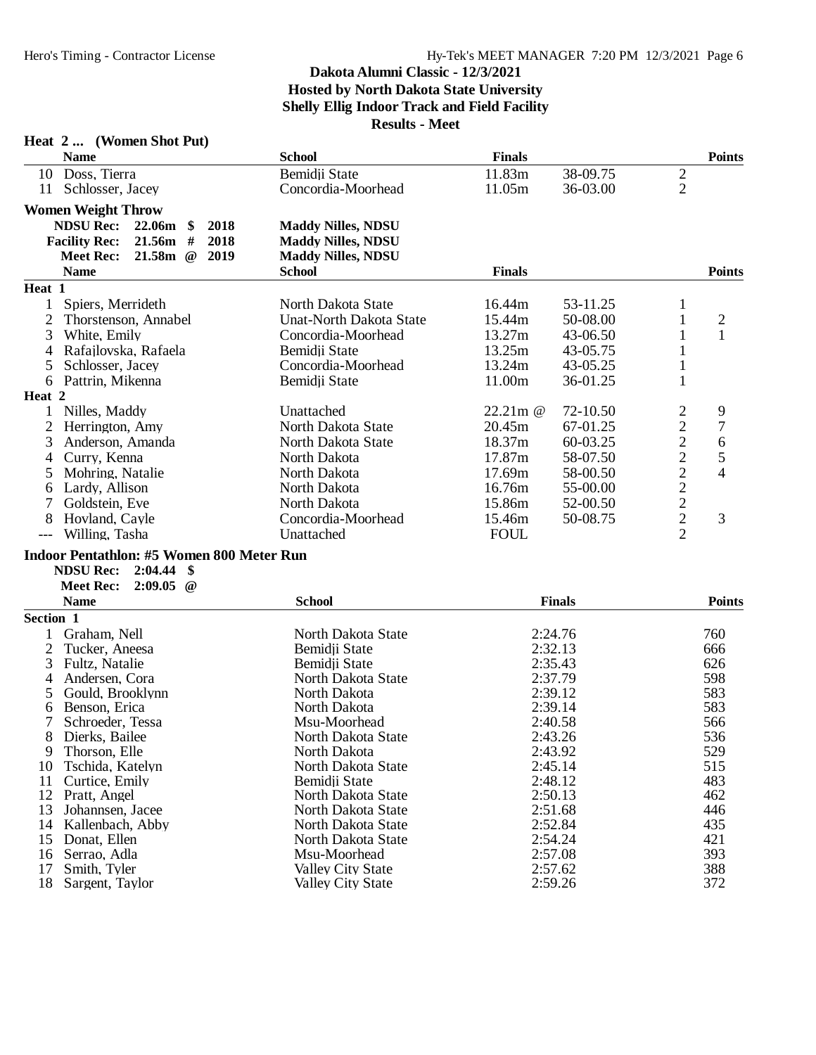| <b>Heat 2</b> |  | (Women Shot Put) |  |
|---------------|--|------------------|--|
|---------------|--|------------------|--|

18 Sargent, Taylor

| <b>Name</b>          |                                                  | <b>School</b>                  | <b>Finals</b> |               |                | <b>Points</b>  |
|----------------------|--------------------------------------------------|--------------------------------|---------------|---------------|----------------|----------------|
| 10 Doss, Tierra      |                                                  | Bemidii State                  | 11.83m        | 38-09.75      | $\overline{c}$ |                |
| 11                   | Schlosser, Jacey                                 | Concordia-Moorhead             | 11.05m        | 36-03.00      | $\overline{2}$ |                |
|                      | <b>Women Weight Throw</b>                        |                                |               |               |                |                |
| <b>NDSU Rec:</b>     | 2018<br>22.06m<br>-S                             | <b>Maddy Nilles, NDSU</b>      |               |               |                |                |
| <b>Facility Rec:</b> | 2018<br>21.56m<br>#                              | <b>Maddy Nilles, NDSU</b>      |               |               |                |                |
| <b>Meet Rec:</b>     | 21.58m<br>2019<br>$\omega$                       | <b>Maddy Nilles, NDSU</b>      |               |               |                |                |
| <b>Name</b>          |                                                  | <b>School</b>                  | <b>Finals</b> |               |                | <b>Points</b>  |
| Heat 1               |                                                  |                                |               |               |                |                |
| 1                    | Spiers, Merrideth                                | North Dakota State             | 16.44m        | 53-11.25      | 1              |                |
| $\overline{2}$       | Thorstenson, Annabel                             | <b>Unat-North Dakota State</b> | 15.44m        | 50-08.00      | $\mathbf{1}$   | $\mathfrak{2}$ |
| 3                    | White, Emily                                     | Concordia-Moorhead             | 13.27m        | 43-06.50      | 1              | $\mathbf{1}$   |
| 4                    | Rafajlovska, Rafaela                             | Bemidji State                  | 13.25m        | 43-05.75      | 1              |                |
| 5                    | Schlosser, Jacey                                 | Concordia-Moorhead             | 13.24m        | 43-05.25      | 1              |                |
| 6                    | Pattrin, Mikenna                                 | Bemidji State                  | 11.00m        | 36-01.25      | 1              |                |
| Heat 2               |                                                  |                                |               |               |                |                |
| 1                    | Nilles, Maddy                                    | Unattached                     | 22.21m @      | 72-10.50      | $\overline{c}$ | 9              |
| 2                    | Herrington, Amy                                  | North Dakota State             | 20.45m        | 67-01.25      |                | $\sqrt{ }$     |
| 3                    | Anderson, Amanda                                 | North Dakota State             | 18.37m        | 60-03.25      | 22222222       | 6              |
| 4                    | Curry, Kenna                                     | North Dakota                   | 17.87m        | 58-07.50      |                | 5              |
| 5                    | Mohring, Natalie                                 | North Dakota                   | 17.69m        | 58-00.50      |                | $\overline{4}$ |
| 6                    | Lardy, Allison                                   | North Dakota                   | 16.76m        | 55-00.00      |                |                |
| 7                    | Goldstein, Eve                                   | North Dakota                   | 15.86m        | 52-00.50      |                |                |
| 8                    | Hovland, Cayle                                   | Concordia-Moorhead             | 15.46m        | 50-08.75      |                | 3              |
| $---$                | Willing, Tasha                                   | Unattached                     | <b>FOUL</b>   |               |                |                |
|                      | <b>Indoor Pentathlon: #5 Women 800 Meter Run</b> |                                |               |               |                |                |
| <b>NDSU Rec:</b>     | 2:04.44<br>-\$                                   |                                |               |               |                |                |
| <b>Meet Rec:</b>     | 2:09.05<br>$\omega$                              |                                |               |               |                |                |
| <b>Name</b>          |                                                  | <b>School</b>                  |               | <b>Finals</b> |                | <b>Points</b>  |
| Section 1            |                                                  |                                |               |               |                |                |
|                      | Graham, Nell                                     | North Dakota State             |               | 2:24.76       |                | 760            |
| 2                    | Tucker, Aneesa                                   | Bemidji State                  |               | 2:32.13       |                | 666            |
| 3                    | Fultz, Natalie                                   | Bemidji State                  |               | 2:35.43       |                | 626            |
| 4                    | Andersen, Cora                                   | North Dakota State             |               | 2:37.79       |                | 598            |

 Andersen, Cora North Dakota State 2:37.79 598 Gould, Brooklynn North Dakota 2:39.12 583 Benson, Erica North Dakota 2:39.14 583 7 Schroeder, Tessa Msu-Moorhead 2:40.58 566<br>8 Dierks, Bailee North Dakota State 2:43.26 536

10 Tschida, Katelyn North Dakota State 2:45.14 515<br>11 Curtice, Emily Bemidji State 2:48.12 483 11 Curtice, Emily Bemidji State 2:48.12 483<br>12 Pratt, Angel North Dakota State 2:50.13 462

13 Johannsen, Jacee North Dakota State 2:51.68 446 14 Kallenbach, Abby North Dakota State 2:52.84 435

16 Serrao, Adla Msu-Moorhead 2:57.08 393

9 Thorson, Elle North Dakota 2:43.92 529

8 North Dakota State 2:43.26 536<br>North Dakota 2:43.92 529

12 North Dakota State 2:50.13 462<br>North Dakota State 2:51.68 446

15 North Dakota State 2:54.24 421<br>
15 Msu-Moorhead 2:57.08 393

17 Valley City State 2:57.62 388<br>
172 Valley City State 2:59.26 372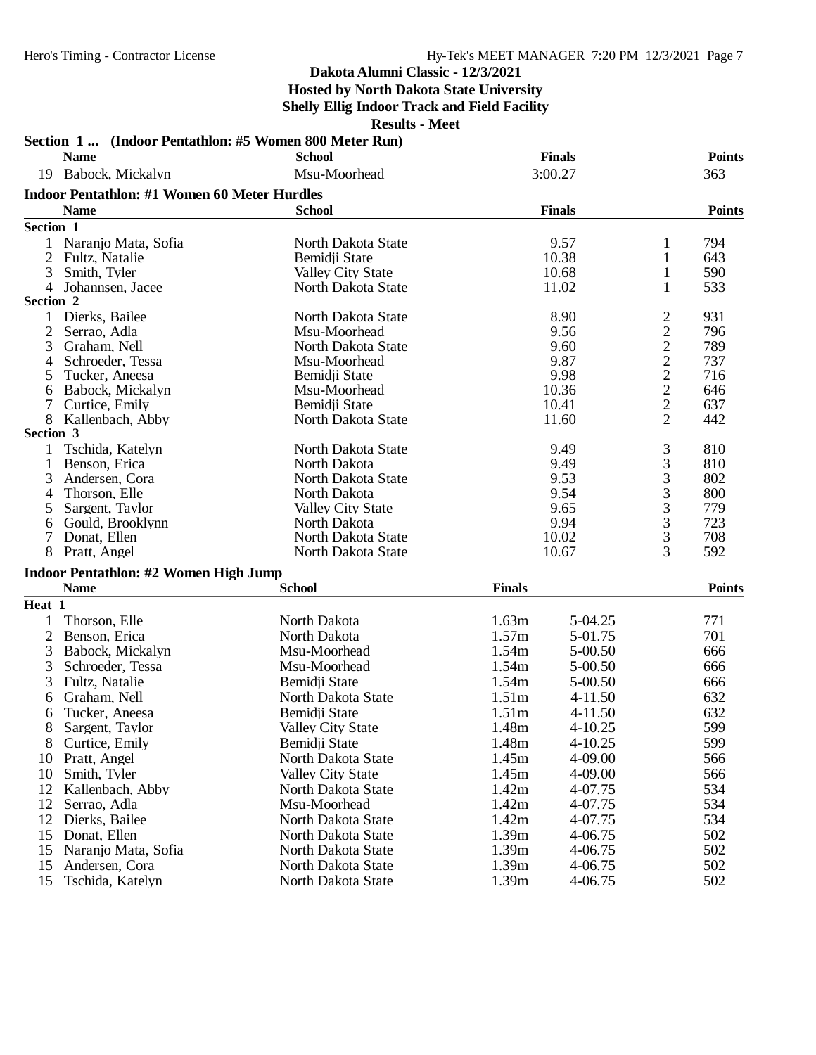### **Dakota Alumni Classic - 12/3/2021**

# **Hosted by North Dakota State University**

**Shelly Ellig Indoor Track and Field Facility**

| Babock, Mickalyn<br>3:00.27<br>363<br>Msu-Moorhead<br>19<br><b>Indoor Pentathlon: #1 Women 60 Meter Hurdles</b><br><b>Name</b><br><b>Finals</b><br><b>Points</b><br><b>School</b><br>Section 1<br>Naranjo Mata, Sofia<br>9.57<br>794<br>North Dakota State<br>1<br>1<br>2<br>Bemidji State<br>10.38<br>$\mathbf{1}$<br>643<br>Fultz, Natalie<br>3<br>10.68<br>590<br>Smith, Tyler<br><b>Valley City State</b><br>1<br>533<br>4<br>Johannsen, Jacee<br>North Dakota State<br>11.02<br>1<br>Section 2<br>Dierks, Bailee<br>$\overline{c}$<br>8.90<br>931<br>North Dakota State<br>1<br>$\overline{c}$<br>796<br>2<br>Msu-Moorhead<br>9.56<br>Serrao, Adla<br>$\frac{2}{2}$<br>3<br>9.60<br>789<br>Graham, Nell<br>North Dakota State<br>9.87<br>737<br>Schroeder, Tessa<br>Msu-Moorhead<br>4<br>$\overline{c}$<br>716<br>Bemidji State<br>9.98<br>Tucker, Aneesa<br>5<br>$\overline{c}$<br>646<br>Babock, Mickalyn<br>Msu-Moorhead<br>10.36<br>6<br>$\overline{c}$<br>10.41<br>637<br>7<br>Curtice, Emily<br>Bemidji State<br>$\overline{2}$<br>8<br>11.60<br>442<br>Kallenbach, Abby<br>North Dakota State<br>Section 3<br>3<br>9.49<br>810<br>Tschida, Katelyn<br>North Dakota State<br>1<br>3<br>9.49<br>810<br>Benson, Erica<br>North Dakota<br>1<br>3<br>802<br>9.53<br>3<br>North Dakota State<br>Andersen, Cora<br>3<br>9.54<br>800<br>Thorson, Elle<br>North Dakota<br>4<br>3<br>9.65<br>779<br>Sargent, Taylor<br><b>Valley City State</b><br>5<br>3<br>723<br>9.94<br>Gould, Brooklynn<br>North Dakota<br>6<br>3<br>708<br>North Dakota State<br>10.02<br>7<br>Donat, Ellen<br>3<br>592<br>8<br>Pratt, Angel<br>10.67<br>North Dakota State<br><b>Indoor Pentathlon: #2 Women High Jump</b><br><b>Name</b><br><b>Finals</b><br><b>School</b><br>Heat 1<br>1.63m<br>Thorson, Elle<br>North Dakota<br>5-04.25<br>771<br>1<br>1.57m<br>701<br>2<br>North Dakota<br>Benson, Erica<br>5-01.75<br>1.54m<br>5-00.50<br>666<br>3<br>Babock, Mickalyn<br>Msu-Moorhead<br>3<br>1.54m<br>5-00.50<br>Schroeder, Tessa<br>Msu-Moorhead<br>666<br>3<br>Bemidji State<br>1.54m<br>Fultz, Natalie<br>5-00.50<br>666<br>1.51m<br>632<br>Graham, Nell<br>North Dakota State<br>$4 - 11.50$<br>6<br>Bemidji State<br>1.51m<br>632<br>Tucker, Aneesa<br>$4 - 11.50$<br>6<br>8<br>599<br>1.48m<br>$4 - 10.25$<br>Sargent, Taylor<br>Valley City State<br>8<br>Bemidji State<br>1.48m<br>4-10.25<br>599<br>Curtice, Emily<br>North Dakota State<br>1.45m<br>4-09.00<br>566<br>Pratt, Angel<br>10<br>Smith, Tyler<br><b>Valley City State</b><br>1.45m<br>4-09.00<br>566<br>10<br>534<br>12<br>Kallenbach, Abby<br>North Dakota State<br>1.42m<br>4-07.75<br>534<br>12<br>Serrao, Adla<br>Msu-Moorhead<br>1.42m<br>4-07.75<br>534<br>12<br>North Dakota State<br>1.42m<br>Dierks, Bailee<br>4-07.75<br>1.39m<br>502<br>15<br>Donat, Ellen<br>North Dakota State<br>4-06.75<br>1.39m<br>502<br>15<br>Naranjo Mata, Sofia<br>North Dakota State<br>4-06.75<br>1.39m<br>502<br>15<br>Andersen, Cora<br>North Dakota State<br>4-06.75 |    | Section 1  (Indoor Pentathlon: #5 Women 800 Meter Run)<br><b>Name</b> | <b>School</b>      |       | <b>Finals</b> | <b>Points</b> |
|--------------------------------------------------------------------------------------------------------------------------------------------------------------------------------------------------------------------------------------------------------------------------------------------------------------------------------------------------------------------------------------------------------------------------------------------------------------------------------------------------------------------------------------------------------------------------------------------------------------------------------------------------------------------------------------------------------------------------------------------------------------------------------------------------------------------------------------------------------------------------------------------------------------------------------------------------------------------------------------------------------------------------------------------------------------------------------------------------------------------------------------------------------------------------------------------------------------------------------------------------------------------------------------------------------------------------------------------------------------------------------------------------------------------------------------------------------------------------------------------------------------------------------------------------------------------------------------------------------------------------------------------------------------------------------------------------------------------------------------------------------------------------------------------------------------------------------------------------------------------------------------------------------------------------------------------------------------------------------------------------------------------------------------------------------------------------------------------------------------------------------------------------------------------------------------------------------------------------------------------------------------------------------------------------------------------------------------------------------------------------------------------------------------------------------------------------------------------------------------------------------------------------------------------------------------------------------------------------------------------------------------------------------------------------------------------------------------------------------------------------------------------------------------------------------------------------------------------------------------------------------------------------------------------------------------------------------------------------------------------------------------------|----|-----------------------------------------------------------------------|--------------------|-------|---------------|---------------|
|                                                                                                                                                                                                                                                                                                                                                                                                                                                                                                                                                                                                                                                                                                                                                                                                                                                                                                                                                                                                                                                                                                                                                                                                                                                                                                                                                                                                                                                                                                                                                                                                                                                                                                                                                                                                                                                                                                                                                                                                                                                                                                                                                                                                                                                                                                                                                                                                                                                                                                                                                                                                                                                                                                                                                                                                                                                                                                                                                                                                                    |    |                                                                       |                    |       |               |               |
|                                                                                                                                                                                                                                                                                                                                                                                                                                                                                                                                                                                                                                                                                                                                                                                                                                                                                                                                                                                                                                                                                                                                                                                                                                                                                                                                                                                                                                                                                                                                                                                                                                                                                                                                                                                                                                                                                                                                                                                                                                                                                                                                                                                                                                                                                                                                                                                                                                                                                                                                                                                                                                                                                                                                                                                                                                                                                                                                                                                                                    |    |                                                                       |                    |       |               |               |
|                                                                                                                                                                                                                                                                                                                                                                                                                                                                                                                                                                                                                                                                                                                                                                                                                                                                                                                                                                                                                                                                                                                                                                                                                                                                                                                                                                                                                                                                                                                                                                                                                                                                                                                                                                                                                                                                                                                                                                                                                                                                                                                                                                                                                                                                                                                                                                                                                                                                                                                                                                                                                                                                                                                                                                                                                                                                                                                                                                                                                    |    |                                                                       |                    |       |               |               |
|                                                                                                                                                                                                                                                                                                                                                                                                                                                                                                                                                                                                                                                                                                                                                                                                                                                                                                                                                                                                                                                                                                                                                                                                                                                                                                                                                                                                                                                                                                                                                                                                                                                                                                                                                                                                                                                                                                                                                                                                                                                                                                                                                                                                                                                                                                                                                                                                                                                                                                                                                                                                                                                                                                                                                                                                                                                                                                                                                                                                                    |    |                                                                       |                    |       |               |               |
|                                                                                                                                                                                                                                                                                                                                                                                                                                                                                                                                                                                                                                                                                                                                                                                                                                                                                                                                                                                                                                                                                                                                                                                                                                                                                                                                                                                                                                                                                                                                                                                                                                                                                                                                                                                                                                                                                                                                                                                                                                                                                                                                                                                                                                                                                                                                                                                                                                                                                                                                                                                                                                                                                                                                                                                                                                                                                                                                                                                                                    |    |                                                                       |                    |       |               |               |
|                                                                                                                                                                                                                                                                                                                                                                                                                                                                                                                                                                                                                                                                                                                                                                                                                                                                                                                                                                                                                                                                                                                                                                                                                                                                                                                                                                                                                                                                                                                                                                                                                                                                                                                                                                                                                                                                                                                                                                                                                                                                                                                                                                                                                                                                                                                                                                                                                                                                                                                                                                                                                                                                                                                                                                                                                                                                                                                                                                                                                    |    |                                                                       |                    |       |               |               |
|                                                                                                                                                                                                                                                                                                                                                                                                                                                                                                                                                                                                                                                                                                                                                                                                                                                                                                                                                                                                                                                                                                                                                                                                                                                                                                                                                                                                                                                                                                                                                                                                                                                                                                                                                                                                                                                                                                                                                                                                                                                                                                                                                                                                                                                                                                                                                                                                                                                                                                                                                                                                                                                                                                                                                                                                                                                                                                                                                                                                                    |    |                                                                       |                    |       |               |               |
|                                                                                                                                                                                                                                                                                                                                                                                                                                                                                                                                                                                                                                                                                                                                                                                                                                                                                                                                                                                                                                                                                                                                                                                                                                                                                                                                                                                                                                                                                                                                                                                                                                                                                                                                                                                                                                                                                                                                                                                                                                                                                                                                                                                                                                                                                                                                                                                                                                                                                                                                                                                                                                                                                                                                                                                                                                                                                                                                                                                                                    |    |                                                                       |                    |       |               |               |
|                                                                                                                                                                                                                                                                                                                                                                                                                                                                                                                                                                                                                                                                                                                                                                                                                                                                                                                                                                                                                                                                                                                                                                                                                                                                                                                                                                                                                                                                                                                                                                                                                                                                                                                                                                                                                                                                                                                                                                                                                                                                                                                                                                                                                                                                                                                                                                                                                                                                                                                                                                                                                                                                                                                                                                                                                                                                                                                                                                                                                    |    |                                                                       |                    |       |               |               |
|                                                                                                                                                                                                                                                                                                                                                                                                                                                                                                                                                                                                                                                                                                                                                                                                                                                                                                                                                                                                                                                                                                                                                                                                                                                                                                                                                                                                                                                                                                                                                                                                                                                                                                                                                                                                                                                                                                                                                                                                                                                                                                                                                                                                                                                                                                                                                                                                                                                                                                                                                                                                                                                                                                                                                                                                                                                                                                                                                                                                                    |    |                                                                       |                    |       |               |               |
|                                                                                                                                                                                                                                                                                                                                                                                                                                                                                                                                                                                                                                                                                                                                                                                                                                                                                                                                                                                                                                                                                                                                                                                                                                                                                                                                                                                                                                                                                                                                                                                                                                                                                                                                                                                                                                                                                                                                                                                                                                                                                                                                                                                                                                                                                                                                                                                                                                                                                                                                                                                                                                                                                                                                                                                                                                                                                                                                                                                                                    |    |                                                                       |                    |       |               |               |
|                                                                                                                                                                                                                                                                                                                                                                                                                                                                                                                                                                                                                                                                                                                                                                                                                                                                                                                                                                                                                                                                                                                                                                                                                                                                                                                                                                                                                                                                                                                                                                                                                                                                                                                                                                                                                                                                                                                                                                                                                                                                                                                                                                                                                                                                                                                                                                                                                                                                                                                                                                                                                                                                                                                                                                                                                                                                                                                                                                                                                    |    |                                                                       |                    |       |               |               |
|                                                                                                                                                                                                                                                                                                                                                                                                                                                                                                                                                                                                                                                                                                                                                                                                                                                                                                                                                                                                                                                                                                                                                                                                                                                                                                                                                                                                                                                                                                                                                                                                                                                                                                                                                                                                                                                                                                                                                                                                                                                                                                                                                                                                                                                                                                                                                                                                                                                                                                                                                                                                                                                                                                                                                                                                                                                                                                                                                                                                                    |    |                                                                       |                    |       |               |               |
|                                                                                                                                                                                                                                                                                                                                                                                                                                                                                                                                                                                                                                                                                                                                                                                                                                                                                                                                                                                                                                                                                                                                                                                                                                                                                                                                                                                                                                                                                                                                                                                                                                                                                                                                                                                                                                                                                                                                                                                                                                                                                                                                                                                                                                                                                                                                                                                                                                                                                                                                                                                                                                                                                                                                                                                                                                                                                                                                                                                                                    |    |                                                                       |                    |       |               |               |
|                                                                                                                                                                                                                                                                                                                                                                                                                                                                                                                                                                                                                                                                                                                                                                                                                                                                                                                                                                                                                                                                                                                                                                                                                                                                                                                                                                                                                                                                                                                                                                                                                                                                                                                                                                                                                                                                                                                                                                                                                                                                                                                                                                                                                                                                                                                                                                                                                                                                                                                                                                                                                                                                                                                                                                                                                                                                                                                                                                                                                    |    |                                                                       |                    |       |               |               |
|                                                                                                                                                                                                                                                                                                                                                                                                                                                                                                                                                                                                                                                                                                                                                                                                                                                                                                                                                                                                                                                                                                                                                                                                                                                                                                                                                                                                                                                                                                                                                                                                                                                                                                                                                                                                                                                                                                                                                                                                                                                                                                                                                                                                                                                                                                                                                                                                                                                                                                                                                                                                                                                                                                                                                                                                                                                                                                                                                                                                                    |    |                                                                       |                    |       |               |               |
|                                                                                                                                                                                                                                                                                                                                                                                                                                                                                                                                                                                                                                                                                                                                                                                                                                                                                                                                                                                                                                                                                                                                                                                                                                                                                                                                                                                                                                                                                                                                                                                                                                                                                                                                                                                                                                                                                                                                                                                                                                                                                                                                                                                                                                                                                                                                                                                                                                                                                                                                                                                                                                                                                                                                                                                                                                                                                                                                                                                                                    |    |                                                                       |                    |       |               |               |
|                                                                                                                                                                                                                                                                                                                                                                                                                                                                                                                                                                                                                                                                                                                                                                                                                                                                                                                                                                                                                                                                                                                                                                                                                                                                                                                                                                                                                                                                                                                                                                                                                                                                                                                                                                                                                                                                                                                                                                                                                                                                                                                                                                                                                                                                                                                                                                                                                                                                                                                                                                                                                                                                                                                                                                                                                                                                                                                                                                                                                    |    |                                                                       |                    |       |               |               |
|                                                                                                                                                                                                                                                                                                                                                                                                                                                                                                                                                                                                                                                                                                                                                                                                                                                                                                                                                                                                                                                                                                                                                                                                                                                                                                                                                                                                                                                                                                                                                                                                                                                                                                                                                                                                                                                                                                                                                                                                                                                                                                                                                                                                                                                                                                                                                                                                                                                                                                                                                                                                                                                                                                                                                                                                                                                                                                                                                                                                                    |    |                                                                       |                    |       |               |               |
|                                                                                                                                                                                                                                                                                                                                                                                                                                                                                                                                                                                                                                                                                                                                                                                                                                                                                                                                                                                                                                                                                                                                                                                                                                                                                                                                                                                                                                                                                                                                                                                                                                                                                                                                                                                                                                                                                                                                                                                                                                                                                                                                                                                                                                                                                                                                                                                                                                                                                                                                                                                                                                                                                                                                                                                                                                                                                                                                                                                                                    |    |                                                                       |                    |       |               |               |
|                                                                                                                                                                                                                                                                                                                                                                                                                                                                                                                                                                                                                                                                                                                                                                                                                                                                                                                                                                                                                                                                                                                                                                                                                                                                                                                                                                                                                                                                                                                                                                                                                                                                                                                                                                                                                                                                                                                                                                                                                                                                                                                                                                                                                                                                                                                                                                                                                                                                                                                                                                                                                                                                                                                                                                                                                                                                                                                                                                                                                    |    |                                                                       |                    |       |               |               |
|                                                                                                                                                                                                                                                                                                                                                                                                                                                                                                                                                                                                                                                                                                                                                                                                                                                                                                                                                                                                                                                                                                                                                                                                                                                                                                                                                                                                                                                                                                                                                                                                                                                                                                                                                                                                                                                                                                                                                                                                                                                                                                                                                                                                                                                                                                                                                                                                                                                                                                                                                                                                                                                                                                                                                                                                                                                                                                                                                                                                                    |    |                                                                       |                    |       |               |               |
|                                                                                                                                                                                                                                                                                                                                                                                                                                                                                                                                                                                                                                                                                                                                                                                                                                                                                                                                                                                                                                                                                                                                                                                                                                                                                                                                                                                                                                                                                                                                                                                                                                                                                                                                                                                                                                                                                                                                                                                                                                                                                                                                                                                                                                                                                                                                                                                                                                                                                                                                                                                                                                                                                                                                                                                                                                                                                                                                                                                                                    |    |                                                                       |                    |       |               |               |
|                                                                                                                                                                                                                                                                                                                                                                                                                                                                                                                                                                                                                                                                                                                                                                                                                                                                                                                                                                                                                                                                                                                                                                                                                                                                                                                                                                                                                                                                                                                                                                                                                                                                                                                                                                                                                                                                                                                                                                                                                                                                                                                                                                                                                                                                                                                                                                                                                                                                                                                                                                                                                                                                                                                                                                                                                                                                                                                                                                                                                    |    |                                                                       |                    |       |               |               |
|                                                                                                                                                                                                                                                                                                                                                                                                                                                                                                                                                                                                                                                                                                                                                                                                                                                                                                                                                                                                                                                                                                                                                                                                                                                                                                                                                                                                                                                                                                                                                                                                                                                                                                                                                                                                                                                                                                                                                                                                                                                                                                                                                                                                                                                                                                                                                                                                                                                                                                                                                                                                                                                                                                                                                                                                                                                                                                                                                                                                                    |    |                                                                       |                    |       |               |               |
|                                                                                                                                                                                                                                                                                                                                                                                                                                                                                                                                                                                                                                                                                                                                                                                                                                                                                                                                                                                                                                                                                                                                                                                                                                                                                                                                                                                                                                                                                                                                                                                                                                                                                                                                                                                                                                                                                                                                                                                                                                                                                                                                                                                                                                                                                                                                                                                                                                                                                                                                                                                                                                                                                                                                                                                                                                                                                                                                                                                                                    |    |                                                                       |                    |       |               |               |
|                                                                                                                                                                                                                                                                                                                                                                                                                                                                                                                                                                                                                                                                                                                                                                                                                                                                                                                                                                                                                                                                                                                                                                                                                                                                                                                                                                                                                                                                                                                                                                                                                                                                                                                                                                                                                                                                                                                                                                                                                                                                                                                                                                                                                                                                                                                                                                                                                                                                                                                                                                                                                                                                                                                                                                                                                                                                                                                                                                                                                    |    |                                                                       |                    |       |               |               |
|                                                                                                                                                                                                                                                                                                                                                                                                                                                                                                                                                                                                                                                                                                                                                                                                                                                                                                                                                                                                                                                                                                                                                                                                                                                                                                                                                                                                                                                                                                                                                                                                                                                                                                                                                                                                                                                                                                                                                                                                                                                                                                                                                                                                                                                                                                                                                                                                                                                                                                                                                                                                                                                                                                                                                                                                                                                                                                                                                                                                                    |    |                                                                       |                    |       |               | <b>Points</b> |
|                                                                                                                                                                                                                                                                                                                                                                                                                                                                                                                                                                                                                                                                                                                                                                                                                                                                                                                                                                                                                                                                                                                                                                                                                                                                                                                                                                                                                                                                                                                                                                                                                                                                                                                                                                                                                                                                                                                                                                                                                                                                                                                                                                                                                                                                                                                                                                                                                                                                                                                                                                                                                                                                                                                                                                                                                                                                                                                                                                                                                    |    |                                                                       |                    |       |               |               |
|                                                                                                                                                                                                                                                                                                                                                                                                                                                                                                                                                                                                                                                                                                                                                                                                                                                                                                                                                                                                                                                                                                                                                                                                                                                                                                                                                                                                                                                                                                                                                                                                                                                                                                                                                                                                                                                                                                                                                                                                                                                                                                                                                                                                                                                                                                                                                                                                                                                                                                                                                                                                                                                                                                                                                                                                                                                                                                                                                                                                                    |    |                                                                       |                    |       |               |               |
|                                                                                                                                                                                                                                                                                                                                                                                                                                                                                                                                                                                                                                                                                                                                                                                                                                                                                                                                                                                                                                                                                                                                                                                                                                                                                                                                                                                                                                                                                                                                                                                                                                                                                                                                                                                                                                                                                                                                                                                                                                                                                                                                                                                                                                                                                                                                                                                                                                                                                                                                                                                                                                                                                                                                                                                                                                                                                                                                                                                                                    |    |                                                                       |                    |       |               |               |
|                                                                                                                                                                                                                                                                                                                                                                                                                                                                                                                                                                                                                                                                                                                                                                                                                                                                                                                                                                                                                                                                                                                                                                                                                                                                                                                                                                                                                                                                                                                                                                                                                                                                                                                                                                                                                                                                                                                                                                                                                                                                                                                                                                                                                                                                                                                                                                                                                                                                                                                                                                                                                                                                                                                                                                                                                                                                                                                                                                                                                    |    |                                                                       |                    |       |               |               |
|                                                                                                                                                                                                                                                                                                                                                                                                                                                                                                                                                                                                                                                                                                                                                                                                                                                                                                                                                                                                                                                                                                                                                                                                                                                                                                                                                                                                                                                                                                                                                                                                                                                                                                                                                                                                                                                                                                                                                                                                                                                                                                                                                                                                                                                                                                                                                                                                                                                                                                                                                                                                                                                                                                                                                                                                                                                                                                                                                                                                                    |    |                                                                       |                    |       |               |               |
|                                                                                                                                                                                                                                                                                                                                                                                                                                                                                                                                                                                                                                                                                                                                                                                                                                                                                                                                                                                                                                                                                                                                                                                                                                                                                                                                                                                                                                                                                                                                                                                                                                                                                                                                                                                                                                                                                                                                                                                                                                                                                                                                                                                                                                                                                                                                                                                                                                                                                                                                                                                                                                                                                                                                                                                                                                                                                                                                                                                                                    |    |                                                                       |                    |       |               |               |
|                                                                                                                                                                                                                                                                                                                                                                                                                                                                                                                                                                                                                                                                                                                                                                                                                                                                                                                                                                                                                                                                                                                                                                                                                                                                                                                                                                                                                                                                                                                                                                                                                                                                                                                                                                                                                                                                                                                                                                                                                                                                                                                                                                                                                                                                                                                                                                                                                                                                                                                                                                                                                                                                                                                                                                                                                                                                                                                                                                                                                    |    |                                                                       |                    |       |               |               |
|                                                                                                                                                                                                                                                                                                                                                                                                                                                                                                                                                                                                                                                                                                                                                                                                                                                                                                                                                                                                                                                                                                                                                                                                                                                                                                                                                                                                                                                                                                                                                                                                                                                                                                                                                                                                                                                                                                                                                                                                                                                                                                                                                                                                                                                                                                                                                                                                                                                                                                                                                                                                                                                                                                                                                                                                                                                                                                                                                                                                                    |    |                                                                       |                    |       |               |               |
|                                                                                                                                                                                                                                                                                                                                                                                                                                                                                                                                                                                                                                                                                                                                                                                                                                                                                                                                                                                                                                                                                                                                                                                                                                                                                                                                                                                                                                                                                                                                                                                                                                                                                                                                                                                                                                                                                                                                                                                                                                                                                                                                                                                                                                                                                                                                                                                                                                                                                                                                                                                                                                                                                                                                                                                                                                                                                                                                                                                                                    |    |                                                                       |                    |       |               |               |
|                                                                                                                                                                                                                                                                                                                                                                                                                                                                                                                                                                                                                                                                                                                                                                                                                                                                                                                                                                                                                                                                                                                                                                                                                                                                                                                                                                                                                                                                                                                                                                                                                                                                                                                                                                                                                                                                                                                                                                                                                                                                                                                                                                                                                                                                                                                                                                                                                                                                                                                                                                                                                                                                                                                                                                                                                                                                                                                                                                                                                    |    |                                                                       |                    |       |               |               |
|                                                                                                                                                                                                                                                                                                                                                                                                                                                                                                                                                                                                                                                                                                                                                                                                                                                                                                                                                                                                                                                                                                                                                                                                                                                                                                                                                                                                                                                                                                                                                                                                                                                                                                                                                                                                                                                                                                                                                                                                                                                                                                                                                                                                                                                                                                                                                                                                                                                                                                                                                                                                                                                                                                                                                                                                                                                                                                                                                                                                                    |    |                                                                       |                    |       |               |               |
|                                                                                                                                                                                                                                                                                                                                                                                                                                                                                                                                                                                                                                                                                                                                                                                                                                                                                                                                                                                                                                                                                                                                                                                                                                                                                                                                                                                                                                                                                                                                                                                                                                                                                                                                                                                                                                                                                                                                                                                                                                                                                                                                                                                                                                                                                                                                                                                                                                                                                                                                                                                                                                                                                                                                                                                                                                                                                                                                                                                                                    |    |                                                                       |                    |       |               |               |
|                                                                                                                                                                                                                                                                                                                                                                                                                                                                                                                                                                                                                                                                                                                                                                                                                                                                                                                                                                                                                                                                                                                                                                                                                                                                                                                                                                                                                                                                                                                                                                                                                                                                                                                                                                                                                                                                                                                                                                                                                                                                                                                                                                                                                                                                                                                                                                                                                                                                                                                                                                                                                                                                                                                                                                                                                                                                                                                                                                                                                    |    |                                                                       |                    |       |               |               |
|                                                                                                                                                                                                                                                                                                                                                                                                                                                                                                                                                                                                                                                                                                                                                                                                                                                                                                                                                                                                                                                                                                                                                                                                                                                                                                                                                                                                                                                                                                                                                                                                                                                                                                                                                                                                                                                                                                                                                                                                                                                                                                                                                                                                                                                                                                                                                                                                                                                                                                                                                                                                                                                                                                                                                                                                                                                                                                                                                                                                                    |    |                                                                       |                    |       |               |               |
|                                                                                                                                                                                                                                                                                                                                                                                                                                                                                                                                                                                                                                                                                                                                                                                                                                                                                                                                                                                                                                                                                                                                                                                                                                                                                                                                                                                                                                                                                                                                                                                                                                                                                                                                                                                                                                                                                                                                                                                                                                                                                                                                                                                                                                                                                                                                                                                                                                                                                                                                                                                                                                                                                                                                                                                                                                                                                                                                                                                                                    |    |                                                                       |                    |       |               |               |
|                                                                                                                                                                                                                                                                                                                                                                                                                                                                                                                                                                                                                                                                                                                                                                                                                                                                                                                                                                                                                                                                                                                                                                                                                                                                                                                                                                                                                                                                                                                                                                                                                                                                                                                                                                                                                                                                                                                                                                                                                                                                                                                                                                                                                                                                                                                                                                                                                                                                                                                                                                                                                                                                                                                                                                                                                                                                                                                                                                                                                    |    |                                                                       |                    |       |               |               |
|                                                                                                                                                                                                                                                                                                                                                                                                                                                                                                                                                                                                                                                                                                                                                                                                                                                                                                                                                                                                                                                                                                                                                                                                                                                                                                                                                                                                                                                                                                                                                                                                                                                                                                                                                                                                                                                                                                                                                                                                                                                                                                                                                                                                                                                                                                                                                                                                                                                                                                                                                                                                                                                                                                                                                                                                                                                                                                                                                                                                                    |    |                                                                       |                    |       |               |               |
|                                                                                                                                                                                                                                                                                                                                                                                                                                                                                                                                                                                                                                                                                                                                                                                                                                                                                                                                                                                                                                                                                                                                                                                                                                                                                                                                                                                                                                                                                                                                                                                                                                                                                                                                                                                                                                                                                                                                                                                                                                                                                                                                                                                                                                                                                                                                                                                                                                                                                                                                                                                                                                                                                                                                                                                                                                                                                                                                                                                                                    |    |                                                                       |                    |       |               |               |
|                                                                                                                                                                                                                                                                                                                                                                                                                                                                                                                                                                                                                                                                                                                                                                                                                                                                                                                                                                                                                                                                                                                                                                                                                                                                                                                                                                                                                                                                                                                                                                                                                                                                                                                                                                                                                                                                                                                                                                                                                                                                                                                                                                                                                                                                                                                                                                                                                                                                                                                                                                                                                                                                                                                                                                                                                                                                                                                                                                                                                    | 15 | Tschida, Katelyn                                                      | North Dakota State | 1.39m | 4-06.75       | 502           |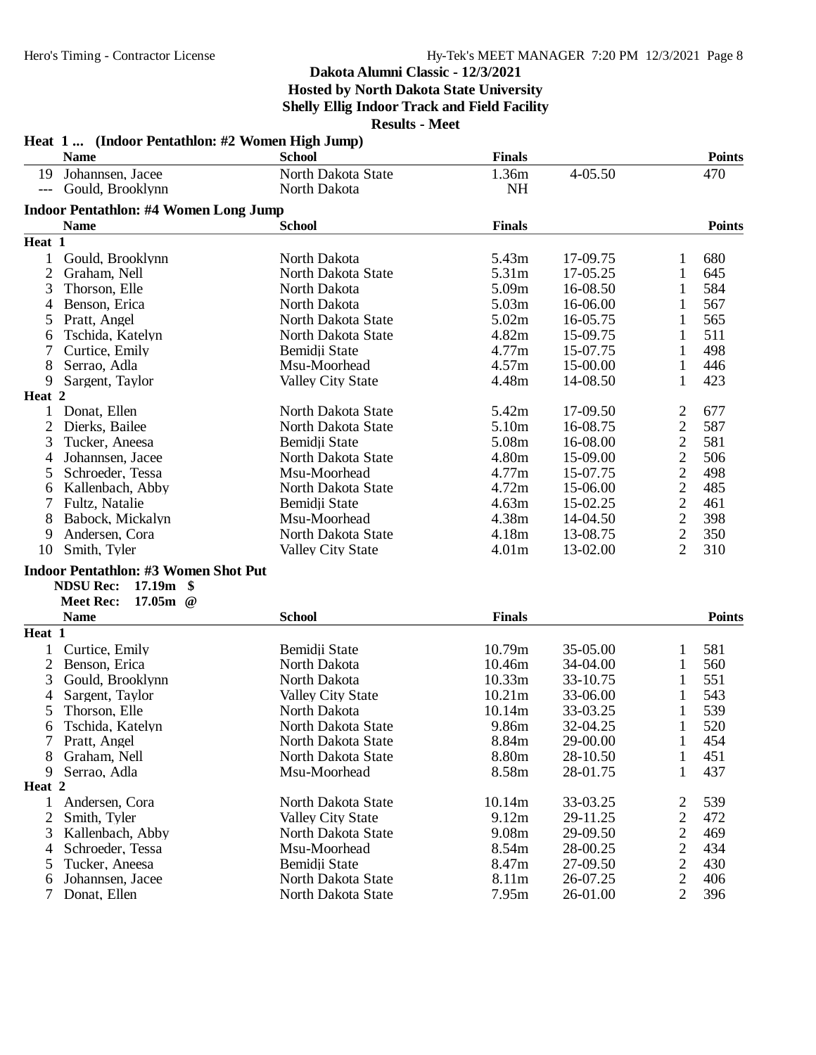# **Dakota Alumni Classic - 12/3/2021 Hosted by North Dakota State University**

**Shelly Ellig Indoor Track and Field Facility**

|                     | Heat 1  (Indoor Pentathlon: #2 Women High Jump)<br><b>Name</b> | <b>School</b>            | <b>Finals</b>     |          |                | <b>Points</b> |
|---------------------|----------------------------------------------------------------|--------------------------|-------------------|----------|----------------|---------------|
| 19                  | Johannsen, Jacee                                               | North Dakota State       | 1.36m             | 4-05.50  |                | 470           |
| $\qquad \qquad - -$ | Gould, Brooklynn                                               | North Dakota             | <b>NH</b>         |          |                |               |
|                     |                                                                |                          |                   |          |                |               |
|                     | <b>Indoor Pentathlon: #4 Women Long Jump</b>                   |                          |                   |          |                |               |
|                     | <b>Name</b>                                                    | <b>School</b>            | <b>Finals</b>     |          |                | <b>Points</b> |
| Heat 1              |                                                                |                          |                   |          |                |               |
| $\mathbf{1}$        | Gould, Brooklynn                                               | North Dakota             | 5.43m             | 17-09.75 |                | 680           |
| 2                   | Graham, Nell                                                   | North Dakota State       | 5.31m             | 17-05.25 | 1              | 645           |
| 3                   | Thorson, Elle                                                  | North Dakota             | 5.09m             | 16-08.50 | 1              | 584           |
| 4                   | Benson, Erica                                                  | North Dakota             | 5.03m             | 16-06.00 | 1              | 567           |
| 5                   | Pratt, Angel                                                   | North Dakota State       | 5.02m             | 16-05.75 | 1              | 565           |
| 6                   | Tschida, Katelyn                                               | North Dakota State       | 4.82m             | 15-09.75 | 1              | 511           |
| 7                   | Curtice, Emily                                                 | Bemidji State            | 4.77m             | 15-07.75 | 1              | 498           |
| 8                   | Serrao, Adla                                                   | Msu-Moorhead             | 4.57m             | 15-00.00 | 1              | 446           |
| 9                   | Sargent, Taylor                                                | <b>Valley City State</b> | 4.48m             | 14-08.50 | 1              | 423           |
| Heat 2              |                                                                |                          |                   |          |                |               |
| $\mathbf{1}$        | Donat, Ellen                                                   | North Dakota State       | 5.42m             | 17-09.50 | 2              | 677           |
| 2                   | Dierks, Bailee                                                 | North Dakota State       | 5.10m             | 16-08.75 | $\overline{2}$ | 587           |
| 3                   | Tucker, Aneesa                                                 | Bemidji State            | 5.08m             | 16-08.00 | $\overline{2}$ | 581           |
| 4                   | Johannsen, Jacee                                               | North Dakota State       | 4.80m             | 15-09.00 | $\overline{2}$ | 506           |
| 5                   | Schroeder, Tessa                                               | Msu-Moorhead             | 4.77m             | 15-07.75 | $\overline{c}$ | 498           |
| 6                   | Kallenbach, Abby                                               | North Dakota State       | 4.72m             | 15-06.00 | $\overline{c}$ | 485           |
| 7                   | Fultz, Natalie                                                 | Bemidji State            | 4.63m             | 15-02.25 | $\overline{c}$ | 461           |
| 8                   | Babock, Mickalyn                                               | Msu-Moorhead             | 4.38m             | 14-04.50 | $\overline{2}$ | 398           |
| 9                   | Andersen, Cora                                                 | North Dakota State       | 4.18m             | 13-08.75 | $\overline{2}$ | 350           |
| 10                  | Smith, Tyler                                                   | <b>Valley City State</b> | 4.01 <sub>m</sub> | 13-02.00 | $\overline{2}$ | 310           |
|                     | <b>Indoor Pentathlon: #3 Women Shot Put</b>                    |                          |                   |          |                |               |
|                     | <b>NDSU Rec:</b><br>17.19m<br>-\$                              |                          |                   |          |                |               |
|                     | 17.05m $@$<br><b>Meet Rec:</b>                                 |                          |                   |          |                |               |
|                     | <b>Name</b>                                                    | <b>School</b>            | <b>Finals</b>     |          |                | <b>Points</b> |
| Heat 1              |                                                                |                          |                   |          |                |               |
| $\mathbf{1}$        | Curtice, Emily                                                 | Bemidji State            | 10.79m            | 35-05.00 | 1              | 581           |
| $\overline{2}$      | Benson, Erica                                                  | North Dakota             | 10.46m            | 34-04.00 | 1              | 560           |
| 3                   | Gould, Brooklynn                                               | North Dakota             | 10.33m            | 33-10.75 | 1              | 551           |
| 4                   | Sargent, Taylor                                                | <b>Valley City State</b> | 10.21m            | 33-06.00 | 1              | 543           |
| 5                   | Thorson, Elle                                                  | North Dakota             | 10.14m            | 33-03.25 | 1              | 539           |
| 6                   | Tschida, Katelyn                                               | North Dakota State       | 9.86m             | 32-04.25 | 1              | 520           |
| 7                   | Pratt, Angel                                                   | North Dakota State       | 8.84m             | 29-00.00 | $\mathbf{1}$   | 454           |
| 8                   | Graham, Nell                                                   | North Dakota State       | 8.80m             | 28-10.50 | $\mathbf{1}$   | 451           |
| 9                   | Serrao, Adla                                                   | Msu-Moorhead             | 8.58m             | 28-01.75 | 1              | 437           |
| Heat 2              |                                                                |                          |                   |          |                |               |
| $\mathbf{1}$        | Andersen, Cora                                                 | North Dakota State       | 10.14m            | 33-03.25 | 2              | 539           |
| $\overline{2}$      | Smith, Tyler                                                   | <b>Valley City State</b> | 9.12m             | 29-11.25 | 2              | 472           |
| 3                   | Kallenbach, Abby                                               | North Dakota State       | 9.08m             | 29-09.50 | $\overline{2}$ | 469           |
| 4                   | Schroeder, Tessa                                               | Msu-Moorhead             | 8.54m             | 28-00.25 | $\overline{c}$ | 434           |
| 5                   | Tucker, Aneesa                                                 | Bemidji State            | 8.47m             | 27-09.50 | $\overline{c}$ | 430           |
| 6                   | Johannsen, Jacee                                               | North Dakota State       | 8.11m             | 26-07.25 | $\overline{2}$ | 406           |
| 7                   | Donat, Ellen                                                   | North Dakota State       | 7.95m             | 26-01.00 | $\overline{2}$ | 396           |
|                     |                                                                |                          |                   |          |                |               |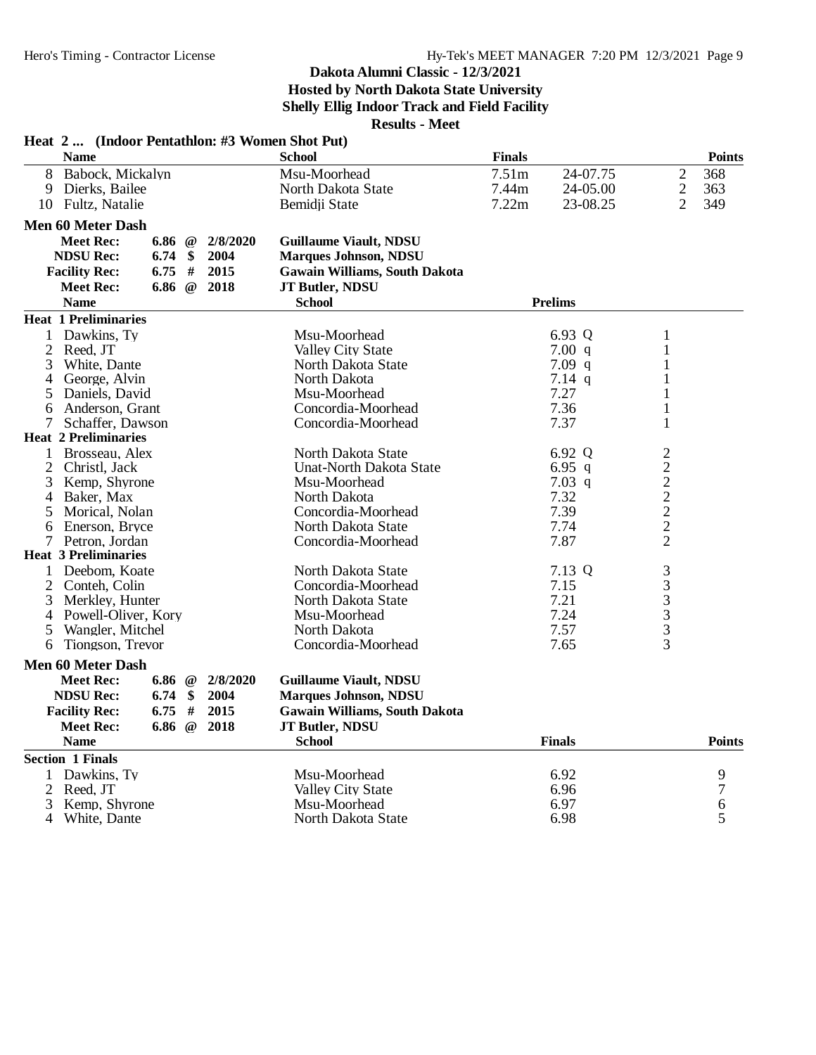# **Dakota Alumni Classic - 12/3/2021**

**Hosted by North Dakota State University**

**Shelly Ellig Indoor Track and Field Facility**

| Heat 2  (Indoor Pentathlon: #3 Women Shot Put) |          |                 |          |                                      |               |                |                                                 |                  |
|------------------------------------------------|----------|-----------------|----------|--------------------------------------|---------------|----------------|-------------------------------------------------|------------------|
| <b>Name</b>                                    |          |                 |          | <b>School</b>                        | <b>Finals</b> |                |                                                 | <b>Points</b>    |
| 8<br>Babock, Mickalyn                          |          |                 |          | Msu-Moorhead                         | 7.51m         | 24-07.75       | $\sqrt{2}$                                      | 368              |
| Dierks, Bailee<br>9                            |          |                 |          | North Dakota State                   | 7.44m         | 24-05.00       | $\sqrt{2}$                                      | 363              |
| 10 Fultz, Natalie                              |          |                 |          | Bemidji State                        | 7.22m         | 23-08.25       | $\overline{2}$                                  | 349              |
| <b>Men 60 Meter Dash</b>                       |          |                 |          |                                      |               |                |                                                 |                  |
| <b>Meet Rec:</b>                               | 6.86 $@$ |                 | 2/8/2020 | <b>Guillaume Viault, NDSU</b>        |               |                |                                                 |                  |
| <b>NDSU Rec:</b>                               | 6.74     | \$              | 2004     | <b>Marques Johnson, NDSU</b>         |               |                |                                                 |                  |
| <b>Facility Rec:</b>                           | 6.75     | #               | 2015     | <b>Gawain Williams, South Dakota</b> |               |                |                                                 |                  |
| <b>Meet Rec:</b>                               | 6.86     | $\omega$        | 2018     | JT Butler, NDSU                      |               |                |                                                 |                  |
| <b>Name</b>                                    |          |                 |          | <b>School</b>                        |               | <b>Prelims</b> |                                                 |                  |
| <b>Heat 1 Preliminaries</b>                    |          |                 |          |                                      |               |                |                                                 |                  |
| 1 Dawkins, Ty                                  |          |                 |          | Msu-Moorhead                         |               | 6.93 Q         | $\mathbf{1}$                                    |                  |
| $\mathbf{2}$<br>Reed, JT                       |          |                 |          | <b>Valley City State</b>             |               | 7.00 q         | $\mathbf{1}$                                    |                  |
| White, Dante<br>3                              |          |                 |          | North Dakota State                   |               | $7.09$ q       | $\mathbf{1}$                                    |                  |
| George, Alvin<br>4                             |          |                 |          | North Dakota                         |               | $7.14$ q       | $\mathbf{1}$                                    |                  |
| 5 Daniels, David                               |          |                 |          | Msu-Moorhead                         |               | 7.27           | $\mathbf{1}$                                    |                  |
| Anderson, Grant<br>6                           |          |                 |          | Concordia-Moorhead                   |               | 7.36           | 1                                               |                  |
| 7<br>Schaffer, Dawson                          |          |                 |          | Concordia-Moorhead                   |               | 7.37           | 1                                               |                  |
| <b>Heat 2 Preliminaries</b>                    |          |                 |          |                                      |               |                |                                                 |                  |
| 1 Brosseau, Alex                               |          |                 |          | North Dakota State                   |               | 6.92 Q         |                                                 |                  |
| Christl, Jack<br>2                             |          |                 |          | <b>Unat-North Dakota State</b>       |               | 6.95 q         |                                                 |                  |
| 3<br>Kemp, Shyrone                             |          |                 |          | Msu-Moorhead                         |               | $7.03$ q       | $22222$<br>$2222$                               |                  |
| Baker, Max<br>4                                |          |                 |          | North Dakota                         |               | 7.32           |                                                 |                  |
| 5<br>Morical, Nolan                            |          |                 |          | Concordia-Moorhead                   |               | 7.39           |                                                 |                  |
| Enerson, Bryce<br>6                            |          |                 |          | North Dakota State                   |               | 7.74           |                                                 |                  |
| 7 Petron, Jordan                               |          |                 |          | Concordia-Moorhead                   |               | 7.87           |                                                 |                  |
| <b>Heat 3 Preliminaries</b>                    |          |                 |          |                                      |               |                |                                                 |                  |
| Deebom, Koate<br>1                             |          |                 |          | North Dakota State                   |               | 7.13 Q         |                                                 |                  |
| $\overline{2}$<br>Conteh, Colin                |          |                 |          | Concordia-Moorhead                   |               | 7.15           |                                                 |                  |
| 3<br>Merkley, Hunter                           |          |                 |          | North Dakota State                   |               | 7.21           |                                                 |                  |
| Powell-Oliver, Kory<br>4                       |          |                 |          | Msu-Moorhead                         |               | 7.24           |                                                 |                  |
| Wangler, Mitchel<br>5                          |          |                 |          | North Dakota                         |               | 7.57           |                                                 |                  |
| Tiongson, Trevor<br>6                          |          |                 |          | Concordia-Moorhead                   |               | 7.65           | $\begin{array}{c}\n33 \\ 33 \\ 33\n\end{array}$ |                  |
| <b>Men 60 Meter Dash</b>                       |          |                 |          |                                      |               |                |                                                 |                  |
| <b>Meet Rec:</b>                               | 6.86 $@$ |                 | 2/8/2020 | <b>Guillaume Viault, NDSU</b>        |               |                |                                                 |                  |
| <b>NDSU Rec:</b>                               | 6.74     | \$              | 2004     | <b>Marques Johnson, NDSU</b>         |               |                |                                                 |                  |
| <b>Facility Rec:</b>                           | 6.75     | #               | 2015     | <b>Gawain Williams, South Dakota</b> |               |                |                                                 |                  |
|                                                |          |                 | 2018     |                                      |               |                |                                                 |                  |
| <b>Meet Rec:</b>                               | 6.86     | $^{\copyright}$ |          | JT Butler, NDSU                      |               |                |                                                 |                  |
| <b>Name</b>                                    |          |                 |          | <b>School</b>                        |               | <b>Finals</b>  |                                                 | <b>Points</b>    |
| <b>Section 1 Finals</b>                        |          |                 |          |                                      |               |                |                                                 |                  |
| Dawkins, Ty<br>1                               |          |                 |          | Msu-Moorhead                         |               | 6.92           |                                                 | 9                |
| $\overline{2}$<br>Reed. JT                     |          |                 |          | <b>Valley City State</b>             |               | 6.96           |                                                 | $\boldsymbol{7}$ |
| 3<br>Kemp, Shyrone                             |          |                 |          | Msu-Moorhead                         |               | 6.97           |                                                 | 6                |
| 4<br>White, Dante                              |          |                 |          | North Dakota State                   |               | 6.98           |                                                 | 5                |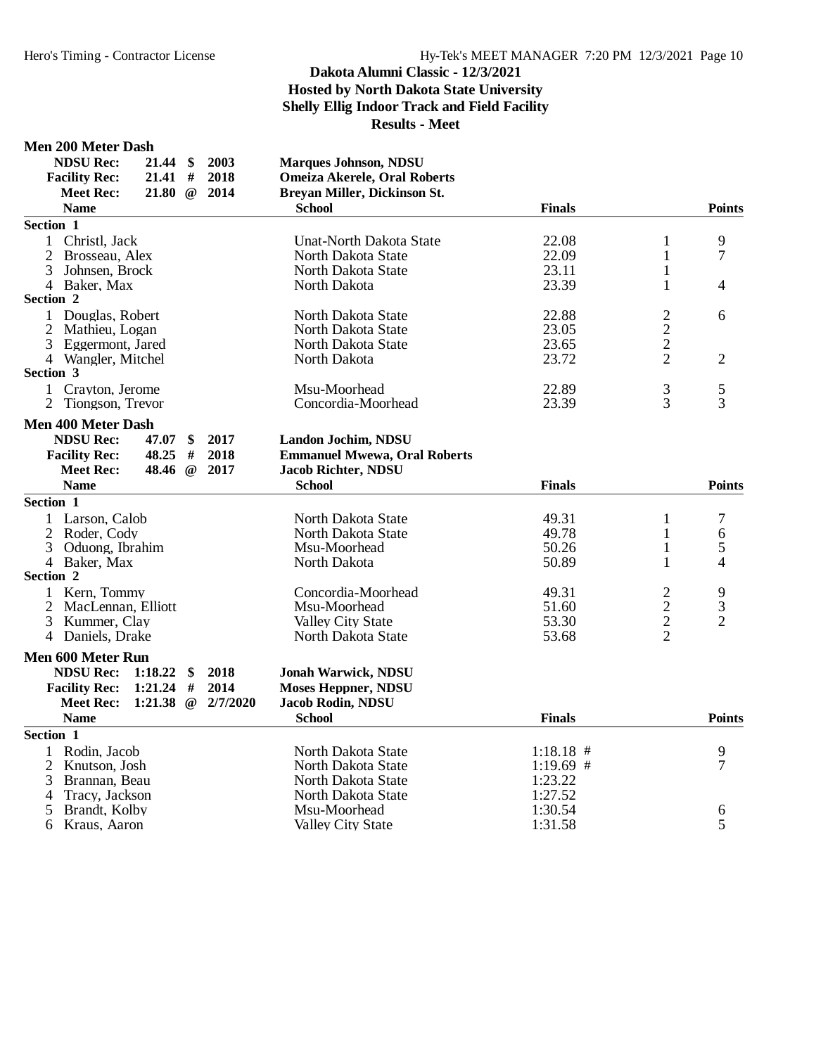#### **Men 200 Meter Dash**

| <b>NDSU Rec:</b>          | 21.44                       | \$       | 2003     | <b>Marques Johnson, NDSU</b>        |               |                |                |
|---------------------------|-----------------------------|----------|----------|-------------------------------------|---------------|----------------|----------------|
| <b>Facility Rec:</b>      | 21.41                       | #        | 2018     | <b>Omeiza Akerele, Oral Roberts</b> |               |                |                |
| <b>Meet Rec:</b>          | 21.80                       | $\omega$ | 2014     | Breyan Miller, Dickinson St.        |               |                |                |
| <b>Name</b>               |                             |          |          | <b>School</b>                       | <b>Finals</b> |                | <b>Points</b>  |
| Section 1                 |                             |          |          |                                     |               |                |                |
| $\mathbf{1}$              | Christl, Jack               |          |          | <b>Unat-North Dakota State</b>      | 22.08         | $\mathbf{1}$   | 9              |
|                           | Brosseau, Alex              |          |          | North Dakota State                  | 22.09         | $\mathbf{1}$   | $\overline{7}$ |
| 3                         | Johnsen, Brock              |          |          | North Dakota State                  | 23.11         | $\mathbf{1}$   |                |
| 4 Baker, Max              |                             |          |          | North Dakota                        | 23.39         | $\mathbf{1}$   | 4              |
| Section 2                 |                             |          |          |                                     |               |                |                |
|                           | 1 Douglas, Robert           |          |          | North Dakota State                  | 22.88         | $\frac{2}{2}$  | 6              |
| 2                         | Mathieu, Logan              |          |          | North Dakota State                  | 23.05         |                |                |
|                           | 3 Eggermont, Jared          |          |          | North Dakota State                  | 23.65         | $\overline{c}$ |                |
|                           | 4 Wangler, Mitchel          |          |          | North Dakota                        | 23.72         | $\overline{2}$ | $\overline{2}$ |
| Section 3                 |                             |          |          |                                     |               |                |                |
|                           | 1 Crayton, Jerome           |          |          | Msu-Moorhead                        | 22.89         | 3              | 5              |
|                           | 2 Tiongson, Trevor          |          |          | Concordia-Moorhead                  | 23.39         | $\overline{3}$ | 3              |
| <b>Men 400 Meter Dash</b> |                             |          |          |                                     |               |                |                |
| <b>NDSU Rec:</b>          | 47.07                       | \$       | 2017     | Landon Jochim, NDSU                 |               |                |                |
| <b>Facility Rec:</b>      | 48.25                       | #        | 2018     | <b>Emmanuel Mwewa, Oral Roberts</b> |               |                |                |
| <b>Meet Rec:</b>          | 48.46                       | $\omega$ | 2017     | <b>Jacob Richter, NDSU</b>          |               |                |                |
| <b>Name</b>               |                             |          |          | <b>School</b>                       | <b>Finals</b> |                | <b>Points</b>  |
| Section 1                 |                             |          |          |                                     |               |                |                |
| 1                         | Larson, Calob               |          |          | North Dakota State                  | 49.31         | $\mathbf{1}$   | 7              |
|                           | 2 Roder, Cody               |          |          | North Dakota State                  | 49.78         | 1              | 6              |
| 3                         | Oduong, Ibrahim             |          |          | Msu-Moorhead                        | 50.26         | $\mathbf{1}$   | 5              |
| 4 Baker, Max              |                             |          |          | North Dakota                        | 50.89         | 1              | 4              |
| Section 2                 |                             |          |          |                                     |               |                |                |
| 1                         | Kern, Tommy                 |          |          | Concordia-Moorhead                  | 49.31         | 2              | 9              |
|                           | 2 MacLennan, Elliott        |          |          | Msu-Moorhead                        | 51.60         |                | 3              |
| 3                         | Kummer, Clay                |          |          | Valley City State                   | 53.30         |                | $\overline{2}$ |
|                           | 4 Daniels, Drake            |          |          | North Dakota State                  | 53.68         | $\frac{2}{2}$  |                |
|                           |                             |          |          |                                     |               |                |                |
| Men 600 Meter Run         |                             |          |          |                                     |               |                |                |
| <b>NDSU Rec:</b>          | 1:18.22                     | \$       | 2018     | <b>Jonah Warwick, NDSU</b>          |               |                |                |
| <b>Facility Rec:</b>      | 1:21.24                     | #        | 2014     | <b>Moses Heppner, NDSU</b>          |               |                |                |
|                           | 1:21.38<br><b>Meet Rec:</b> | $\omega$ | 2/7/2020 | Jacob Rodin, NDSU                   |               |                |                |
| <b>Name</b>               |                             |          |          | <b>School</b>                       | <b>Finals</b> |                | <b>Points</b>  |
| Section 1                 |                             |          |          |                                     |               |                |                |
| 1                         | Rodin, Jacob                |          |          | North Dakota State                  | $1:18.18$ #   |                | 9              |
|                           | 2 Knutson, Josh             |          |          | North Dakota State                  | $1:19.69$ #   |                | 7              |
| 3                         | Brannan, Beau               |          |          | North Dakota State                  | 1:23.22       |                |                |
| 4                         | Tracy, Jackson              |          |          | North Dakota State                  | 1:27.52       |                |                |
| 5                         | Brandt, Kolby               |          |          | Msu-Moorhead                        | 1:30.54       |                | 6              |
| 6                         | Kraus, Aaron                |          |          | <b>Valley City State</b>            | 1:31.58       |                | 5              |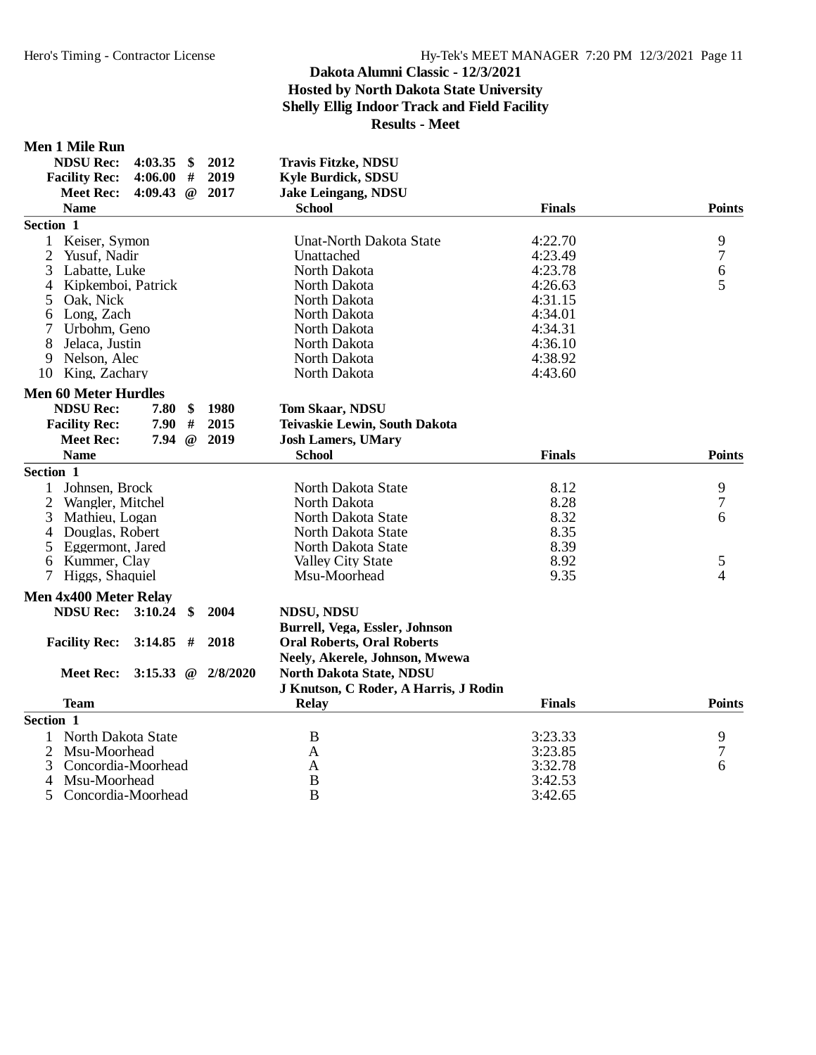#### **Men 1 Mile Run**

| <b>Facility Rec:</b><br>4:06.00<br>2019<br><b>Kyle Burdick, SDSU</b><br>#<br>2017<br><b>Meet Rec:</b><br>4:09.43<br>$\omega$<br><b>Jake Leingang, NDSU</b><br><b>Name</b><br><b>School</b><br><b>Finals</b><br>Section 1<br>4:22.70<br>Keiser, Symon<br><b>Unat-North Dakota State</b><br>1<br>$\mathbf{2}$<br>4:23.49<br>Yusuf, Nadir<br>Unattached<br>$\sqrt{6}$<br>3<br>North Dakota<br>Labatte, Luke<br>4:23.78 |                         | <b>Points</b><br>9<br>$\tau$ |
|---------------------------------------------------------------------------------------------------------------------------------------------------------------------------------------------------------------------------------------------------------------------------------------------------------------------------------------------------------------------------------------------------------------------|-------------------------|------------------------------|
|                                                                                                                                                                                                                                                                                                                                                                                                                     |                         |                              |
|                                                                                                                                                                                                                                                                                                                                                                                                                     |                         |                              |
|                                                                                                                                                                                                                                                                                                                                                                                                                     |                         |                              |
|                                                                                                                                                                                                                                                                                                                                                                                                                     |                         |                              |
|                                                                                                                                                                                                                                                                                                                                                                                                                     |                         |                              |
|                                                                                                                                                                                                                                                                                                                                                                                                                     |                         |                              |
|                                                                                                                                                                                                                                                                                                                                                                                                                     |                         |                              |
| 4<br>Kipkemboi, Patrick                                                                                                                                                                                                                                                                                                                                                                                             | North Dakota<br>4:26.63 | 5                            |
| 5<br>Oak, Nick<br>North Dakota<br>4:31.15                                                                                                                                                                                                                                                                                                                                                                           |                         |                              |
| Long, Zach<br>4:34.01<br>North Dakota<br>6                                                                                                                                                                                                                                                                                                                                                                          |                         |                              |
| 7<br>Urbohm, Geno<br>North Dakota<br>4:34.31                                                                                                                                                                                                                                                                                                                                                                        |                         |                              |
| 8<br>Jelaca, Justin<br>North Dakota<br>4:36.10                                                                                                                                                                                                                                                                                                                                                                      |                         |                              |
| 9<br>Nelson, Alec<br>North Dakota<br>4:38.92                                                                                                                                                                                                                                                                                                                                                                        |                         |                              |
| North Dakota<br>10 King, Zachary<br>4:43.60                                                                                                                                                                                                                                                                                                                                                                         |                         |                              |
| <b>Men 60 Meter Hurdles</b>                                                                                                                                                                                                                                                                                                                                                                                         |                         |                              |
| <b>NDSU Rec:</b><br>1980<br>7.80<br>\$<br><b>Tom Skaar, NDSU</b>                                                                                                                                                                                                                                                                                                                                                    |                         |                              |
| $\#$<br>2015<br><b>Facility Rec:</b><br>7.90<br>Teivaskie Lewin, South Dakota                                                                                                                                                                                                                                                                                                                                       |                         |                              |
| 7.94<br>2019<br><b>Meet Rec:</b><br>$\omega$<br><b>Josh Lamers, UMary</b>                                                                                                                                                                                                                                                                                                                                           |                         |                              |
| <b>Name</b><br><b>School</b><br><b>Finals</b>                                                                                                                                                                                                                                                                                                                                                                       |                         | <b>Points</b>                |
| Section 1                                                                                                                                                                                                                                                                                                                                                                                                           |                         |                              |
| North Dakota State<br>Johnsen, Brock<br>8.12<br>1                                                                                                                                                                                                                                                                                                                                                                   |                         | 9                            |
| 8.28<br>$\overline{2}$<br>Wangler, Mitchel<br>North Dakota                                                                                                                                                                                                                                                                                                                                                          |                         | $\overline{7}$               |
| 8.32<br>3<br>Mathieu, Logan<br>North Dakota State                                                                                                                                                                                                                                                                                                                                                                   |                         | 6                            |
| 8.35<br>4<br>Douglas, Robert<br>North Dakota State                                                                                                                                                                                                                                                                                                                                                                  |                         |                              |
| 8.39<br>5<br>Eggermont, Jared<br>North Dakota State                                                                                                                                                                                                                                                                                                                                                                 |                         |                              |
| 8.92<br>Kummer, Clay<br><b>Valley City State</b><br>6                                                                                                                                                                                                                                                                                                                                                               |                         | 5                            |
| 9.35<br>Higgs, Shaquiel<br>Msu-Moorhead<br>7 <sup>1</sup>                                                                                                                                                                                                                                                                                                                                                           |                         | $\overline{4}$               |
| Men 4x400 Meter Relay                                                                                                                                                                                                                                                                                                                                                                                               |                         |                              |
| <b>NDSU Rec:</b><br>3:10.24<br>2004<br>$\mathbf{\$}$<br><b>NDSU, NDSU</b>                                                                                                                                                                                                                                                                                                                                           |                         |                              |
| Burrell, Vega, Essler, Johnson                                                                                                                                                                                                                                                                                                                                                                                      |                         |                              |
| 2018<br><b>Facility Rec:</b><br>3:14.85<br><b>Oral Roberts, Oral Roberts</b><br>#                                                                                                                                                                                                                                                                                                                                   |                         |                              |
| Neely, Akerele, Johnson, Mwewa                                                                                                                                                                                                                                                                                                                                                                                      |                         |                              |
| 3:15.33 $@$<br>2/8/2020<br>North Dakota State, NDSU<br><b>Meet Rec:</b>                                                                                                                                                                                                                                                                                                                                             |                         |                              |
| J Knutson, C Roder, A Harris, J Rodin                                                                                                                                                                                                                                                                                                                                                                               |                         |                              |
| <b>Team</b><br><b>Finals</b><br><b>Relay</b>                                                                                                                                                                                                                                                                                                                                                                        |                         | <b>Points</b>                |
| Section 1                                                                                                                                                                                                                                                                                                                                                                                                           |                         |                              |
| North Dakota State<br>B<br>3:23.33<br>1                                                                                                                                                                                                                                                                                                                                                                             |                         | 9                            |
| 2<br>Msu-Moorhead<br>$\mathbf{A}$<br>3:23.85                                                                                                                                                                                                                                                                                                                                                                        |                         | 7                            |
| 3<br>Concordia-Moorhead<br>$\mathbf{A}$<br>3:32.78                                                                                                                                                                                                                                                                                                                                                                  |                         | 6                            |
| $\bf{B}$<br>Msu-Moorhead<br>3:42.53<br>4                                                                                                                                                                                                                                                                                                                                                                            |                         |                              |
| $\overline{B}$<br>5<br>3:42.65<br>Concordia-Moorhead                                                                                                                                                                                                                                                                                                                                                                |                         |                              |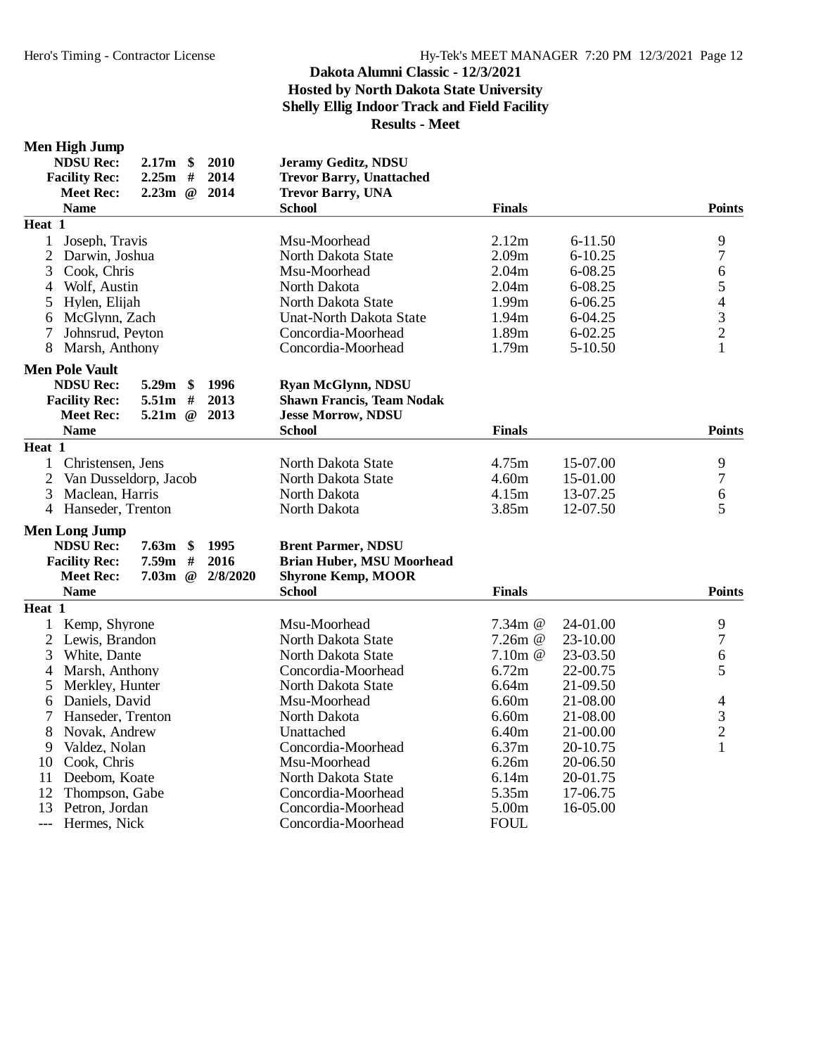#### **Men High Jump**

| <b>NDSU Rec:</b><br>$2.17m$ \$<br>2010        | Jeramy Geditz, NDSU              |               |             |                         |
|-----------------------------------------------|----------------------------------|---------------|-------------|-------------------------|
| 2014<br><b>Facility Rec:</b><br>2.25m<br>#    | <b>Trevor Barry, Unattached</b>  |               |             |                         |
| 2.23m<br>$\omega$<br>2014<br><b>Meet Rec:</b> | <b>Trevor Barry, UNA</b>         |               |             |                         |
| <b>Name</b>                                   | <b>School</b>                    | <b>Finals</b> |             | <b>Points</b>           |
| Heat 1                                        |                                  |               |             |                         |
| $\mathbf{1}$<br>Joseph, Travis                | Msu-Moorhead                     | 2.12m         | $6 - 11.50$ | 9                       |
| $\overline{2}$<br>Darwin, Joshua              | North Dakota State               | 2.09m         | $6 - 10.25$ | $\boldsymbol{7}$        |
| 3<br>Cook, Chris                              | Msu-Moorhead                     | 2.04m         | 6-08.25     | 6                       |
| Wolf, Austin<br>4                             | North Dakota                     | 2.04m         | 6-08.25     | 5                       |
| 5<br>Hylen, Elijah                            | North Dakota State               | 1.99m         | 6-06.25     | $\overline{4}$          |
| McGlynn, Zach<br>6                            | <b>Unat-North Dakota State</b>   | 1.94m         | 6-04.25     | $\overline{\mathbf{3}}$ |
| $\overline{7}$<br>Johnsrud, Peyton            | Concordia-Moorhead               | 1.89m         | $6 - 02.25$ | $\overline{c}$          |
| 8<br>Marsh, Anthony                           | Concordia-Moorhead               | 1.79m         | 5-10.50     | 1                       |
| <b>Men Pole Vault</b>                         |                                  |               |             |                         |
| <b>NDSU Rec:</b><br>$5.29m$ \$<br>1996        | <b>Ryan McGlynn, NDSU</b>        |               |             |                         |
| 5.51m<br>2013<br><b>Facility Rec:</b><br>#    | <b>Shawn Francis, Team Nodak</b> |               |             |                         |
| 2013<br><b>Meet Rec:</b><br>5.21m<br>$\omega$ | <b>Jesse Morrow, NDSU</b>        |               |             |                         |
| <b>Name</b>                                   | <b>School</b>                    | <b>Finals</b> |             | <b>Points</b>           |
| Heat 1                                        |                                  |               |             |                         |
| Christensen, Jens<br>1                        | North Dakota State               | 4.75m         | 15-07.00    | 9                       |
| $\overline{2}$<br>Van Dusseldorp, Jacob       | North Dakota State               | 4.60m         | 15-01.00    | $\tau$                  |
| 3<br>Maclean, Harris                          | North Dakota                     | 4.15m         | 13-07.25    | 6                       |
| 4 Hanseder, Trenton                           | North Dakota                     | 3.85m         | 12-07.50    | 5                       |
| <b>Men Long Jump</b>                          |                                  |               |             |                         |
| <b>NDSU Rec:</b><br>$7.63m$ \$<br>1995        | <b>Brent Parmer, NDSU</b>        |               |             |                         |
| 7.59m<br>2016<br><b>Facility Rec:</b><br>$\#$ | <b>Brian Huber, MSU Moorhead</b> |               |             |                         |
| 2/8/2020<br><b>Meet Rec:</b><br>$7.03m$ @     | <b>Shyrone Kemp, MOOR</b>        |               |             |                         |
| <b>Name</b>                                   | <b>School</b>                    | <b>Finals</b> |             | <b>Points</b>           |
| Heat 1                                        |                                  |               |             |                         |
| $\mathbf{1}$<br>Kemp, Shyrone                 | Msu-Moorhead                     | 7.34 $m$ @    | 24-01.00    | 9                       |
| 2 Lewis, Brandon                              | North Dakota State               | 7.26m @       | 23-10.00    | $\tau$                  |
| 3<br>White, Dante                             | North Dakota State               | 7.10 $m$ @    | 23-03.50    | 6                       |
| 4<br>Marsh, Anthony                           | Concordia-Moorhead               | 6.72m         | 22-00.75    | 5                       |
| 5<br>Merkley, Hunter                          | North Dakota State               | 6.64m         | 21-09.50    |                         |
| Daniels, David<br>6                           | Msu-Moorhead                     | 6.60m         | 21-08.00    | 4                       |
| 7<br>Hanseder, Trenton                        | North Dakota                     | 6.60m         | 21-08.00    | 3                       |
| 8<br>Novak, Andrew                            | Unattached                       | 6.40m         | 21-00.00    | $\overline{c}$          |
| 9<br>Valdez, Nolan                            | Concordia-Moorhead               | 6.37m         | 20-10.75    | $\mathbf{1}$            |
| 10<br>Cook, Chris                             | Msu-Moorhead                     | 6.26m         | 20-06.50    |                         |
| 11<br>Deebom, Koate                           | North Dakota State               | 6.14m         | 20-01.75    |                         |
| 12<br>Thompson, Gabe                          | Concordia-Moorhead               | 5.35m         | 17-06.75    |                         |
| 13<br>Petron, Jordan                          | Concordia-Moorhead               | 5.00m         | 16-05.00    |                         |
| Hermes, Nick<br>---                           | Concordia-Moorhead               | <b>FOUL</b>   |             |                         |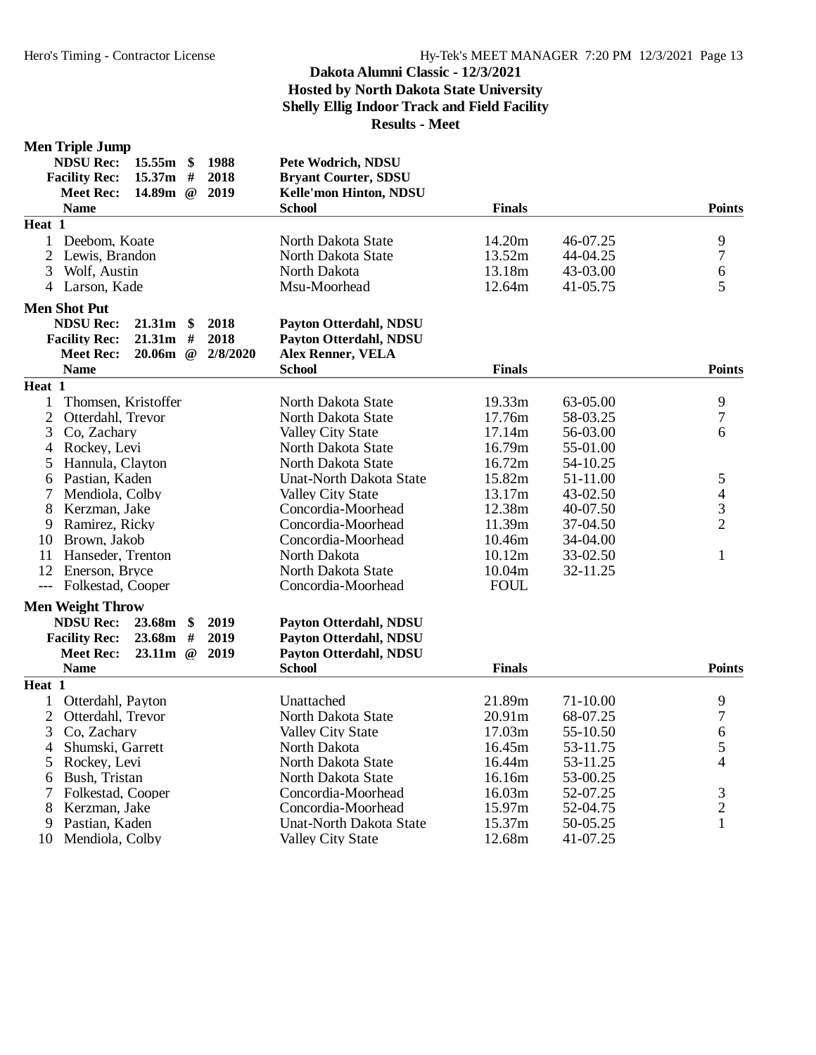#### **Men Triple Jump**

| 1988<br><b>NDSU Rec:</b><br>$15.55m$ \$<br>$15.37m$ #<br>2018<br><b>Facility Rec:</b><br>2019<br><b>Meet Rec:</b><br>14.89m $@$<br><b>Name</b> | Pete Wodrich, NDSU<br><b>Bryant Courter, SDSU</b><br>Kelle'mon Hinton, NDSU<br><b>School</b> | <b>Finals</b> |          | <b>Points</b>            |
|------------------------------------------------------------------------------------------------------------------------------------------------|----------------------------------------------------------------------------------------------|---------------|----------|--------------------------|
| Heat 1                                                                                                                                         |                                                                                              |               |          |                          |
| $\mathbf{1}$<br>Deebom, Koate                                                                                                                  | North Dakota State                                                                           | 14.20m        | 46-07.25 | 9                        |
| $\overline{2}$<br>Lewis, Brandon                                                                                                               | North Dakota State                                                                           | 13.52m        | 44-04.25 | $\tau$                   |
| 3<br>Wolf, Austin                                                                                                                              | North Dakota                                                                                 | 13.18m        | 43-03.00 | 6                        |
| 4 Larson, Kade                                                                                                                                 | Msu-Moorhead                                                                                 | 12.64m        | 41-05.75 | 5                        |
| <b>Men Shot Put</b>                                                                                                                            |                                                                                              |               |          |                          |
| <b>NDSU Rec:</b><br>$21.31m$ \$<br>2018                                                                                                        | Payton Otterdahl, NDSU                                                                       |               |          |                          |
| <b>Facility Rec:</b><br>21.31m<br>$\#$<br>2018                                                                                                 | Payton Otterdahl, NDSU                                                                       |               |          |                          |
| $20.06m$ @<br>2/8/2020<br><b>Meet Rec:</b>                                                                                                     | <b>Alex Renner, VELA</b>                                                                     |               |          |                          |
| <b>Name</b>                                                                                                                                    | <b>School</b>                                                                                | <b>Finals</b> |          | <b>Points</b>            |
| Heat 1                                                                                                                                         |                                                                                              |               |          |                          |
| $\mathbf{1}$<br>Thomsen, Kristoffer                                                                                                            | North Dakota State                                                                           | 19.33m        | 63-05.00 | 9                        |
| $\overline{2}$<br>Otterdahl, Trevor                                                                                                            | North Dakota State                                                                           | 17.76m        | 58-03.25 | 7                        |
| 3<br>Co, Zachary                                                                                                                               | Valley City State                                                                            | 17.14m        | 56-03.00 | 6                        |
| $\overline{4}$<br>Rockey, Levi                                                                                                                 | North Dakota State                                                                           | 16.79m        | 55-01.00 |                          |
| 5<br>Hannula, Clayton                                                                                                                          | North Dakota State                                                                           | 16.72m        | 54-10.25 |                          |
| Pastian, Kaden<br>6                                                                                                                            | <b>Unat-North Dakota State</b>                                                               | 15.82m        | 51-11.00 | 5                        |
| 7<br>Mendiola, Colby                                                                                                                           | <b>Valley City State</b>                                                                     | 13.17m        | 43-02.50 | $\overline{\mathcal{A}}$ |
| 8<br>Kerzman, Jake                                                                                                                             | Concordia-Moorhead                                                                           | 12.38m        | 40-07.50 | $\mathfrak{Z}$           |
| 9<br>Ramirez, Ricky                                                                                                                            | Concordia-Moorhead                                                                           | 11.39m        | 37-04.50 | $\overline{2}$           |
| 10<br>Brown, Jakob                                                                                                                             | Concordia-Moorhead                                                                           | 10.46m        | 34-04.00 |                          |
| 11<br>Hanseder, Trenton                                                                                                                        | North Dakota                                                                                 | 10.12m        | 33-02.50 | $\mathbf{1}$             |
| 12<br>Enerson, Bryce                                                                                                                           | North Dakota State                                                                           | 10.04m        | 32-11.25 |                          |
| --- Folkestad, Cooper                                                                                                                          | Concordia-Moorhead                                                                           | <b>FOUL</b>   |          |                          |
| <b>Men Weight Throw</b>                                                                                                                        |                                                                                              |               |          |                          |
| <b>NDSU Rec:</b><br>23.68m<br>\$<br>2019                                                                                                       | Payton Otterdahl, NDSU                                                                       |               |          |                          |
| 2019<br>23.68m<br>#<br><b>Facility Rec:</b>                                                                                                    | Payton Otterdahl, NDSU                                                                       |               |          |                          |
| <b>Meet Rec:</b><br>23.11m<br>2019<br>$\omega$                                                                                                 | Payton Otterdahl, NDSU                                                                       |               |          |                          |
| <b>Name</b>                                                                                                                                    | <b>School</b>                                                                                | <b>Finals</b> |          | <b>Points</b>            |
| Heat $1$                                                                                                                                       |                                                                                              |               |          |                          |
| $\mathbf{1}$<br>Otterdahl, Payton                                                                                                              | Unattached                                                                                   | 21.89m        | 71-10.00 | 9                        |
| $\overline{2}$<br>Otterdahl, Trevor                                                                                                            | North Dakota State                                                                           | 20.91m        | 68-07.25 | $\boldsymbol{7}$         |
| 3<br>Co, Zachary                                                                                                                               | <b>Valley City State</b>                                                                     | 17.03m        | 55-10.50 | 6                        |
| Shumski, Garrett<br>4                                                                                                                          | North Dakota                                                                                 | 16.45m        | 53-11.75 | 5                        |
| Rockey, Levi<br>5                                                                                                                              | North Dakota State                                                                           | 16.44m        | 53-11.25 | 4                        |
| Bush, Tristan<br>6                                                                                                                             | North Dakota State                                                                           | 16.16m        | 53-00.25 |                          |
| 7<br>Folkestad, Cooper                                                                                                                         | Concordia-Moorhead                                                                           | 16.03m        | 52-07.25 | 3                        |
| 8<br>Kerzman, Jake                                                                                                                             | Concordia-Moorhead                                                                           | 15.97m        | 52-04.75 | $\sqrt{2}$               |
| 9<br>Pastian, Kaden                                                                                                                            | <b>Unat-North Dakota State</b>                                                               | 15.37m        | 50-05.25 | $\mathbf{1}$             |
| 10<br>Mendiola, Colby                                                                                                                          | Valley City State                                                                            | 12.68m        | 41-07.25 |                          |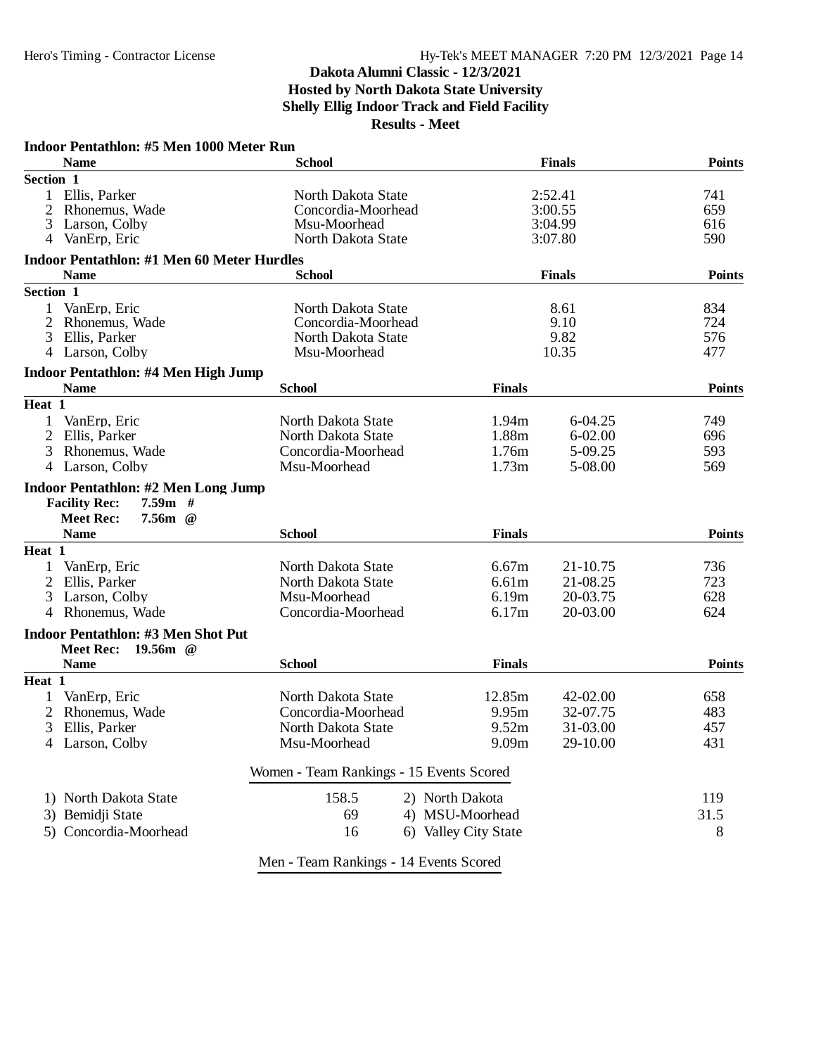| Indoor Pentathlon: #5 Men 1000 Meter Run<br><b>Name</b>                   | <b>School</b>                            |                      | <b>Finals</b> | <b>Points</b> |
|---------------------------------------------------------------------------|------------------------------------------|----------------------|---------------|---------------|
| Section 1                                                                 |                                          |                      |               |               |
| 1 Ellis, Parker                                                           | North Dakota State                       |                      | 2:52.41       | 741           |
| 2<br>Rhonemus, Wade                                                       | Concordia-Moorhead                       |                      | 3:00.55       |               |
| 3<br>Larson, Colby                                                        | Msu-Moorhead                             |                      | 3:04.99       |               |
| 4 VanErp, Eric                                                            | North Dakota State                       |                      | 3:07.80       | 616<br>590    |
| <b>Indoor Pentathlon: #1 Men 60 Meter Hurdles</b>                         |                                          |                      |               |               |
| <b>Name</b>                                                               | <b>School</b>                            |                      | <b>Finals</b> | <b>Points</b> |
| Section 1                                                                 |                                          |                      |               |               |
| VanErp, Eric<br>1                                                         | North Dakota State                       |                      | 8.61          | 834           |
| 2<br>Rhonemus, Wade                                                       | Concordia-Moorhead                       |                      | 9.10          | 724           |
| 3<br>Ellis, Parker                                                        | North Dakota State                       |                      | 9.82          | 576           |
| 4 Larson, Colby                                                           | Msu-Moorhead                             |                      | 10.35         | 477           |
| Indoor Pentathlon: #4 Men High Jump                                       |                                          |                      |               |               |
| <b>Name</b>                                                               | <b>School</b>                            | <b>Finals</b>        |               | <b>Points</b> |
| Heat 1                                                                    |                                          |                      |               |               |
| VanErp, Eric<br>1                                                         | North Dakota State                       | 1.94m                | 6-04.25       | 749           |
| 2<br>Ellis, Parker                                                        | North Dakota State                       | 1.88m                | $6 - 02.00$   | 696           |
| 3<br>Rhonemus, Wade                                                       | Concordia-Moorhead                       | 1.76m                | 5-09.25       | 593           |
| 4 Larson, Colby                                                           | Msu-Moorhead                             | 1.73m                | 5-08.00       | 569           |
| <b>Indoor Pentathlon: #2 Men Long Jump</b>                                |                                          |                      |               |               |
| <b>Facility Rec:</b><br>$7.59m$ #                                         |                                          |                      |               |               |
| <b>Meet Rec:</b><br>$7.56m$ @<br><b>Name</b>                              | <b>School</b>                            | <b>Finals</b>        |               |               |
| Heat 1                                                                    |                                          |                      |               | <b>Points</b> |
| VanErp, Eric<br>1                                                         | North Dakota State                       | 6.67m                | 21-10.75      | 736           |
| 2 Ellis, Parker                                                           | North Dakota State                       | 6.61m                | 21-08.25      | 723           |
| 3<br>Larson, Colby                                                        | Msu-Moorhead                             | 6.19m                | 20-03.75      | 628           |
| $\overline{4}$<br>Rhonemus, Wade                                          | Concordia-Moorhead                       | 6.17m                | 20-03.00      | 624           |
|                                                                           |                                          |                      |               |               |
| <b>Indoor Pentathlon: #3 Men Shot Put</b><br><b>Meet Rec:</b><br>19.56m @ |                                          |                      |               |               |
| <b>Name</b>                                                               | <b>School</b>                            | <b>Finals</b>        |               | <b>Points</b> |
| Heat 1                                                                    |                                          |                      |               |               |
| 1<br>VanErp, Eric                                                         | North Dakota State                       | 12.85m               | 42-02.00      | 658           |
| $\overline{2}$<br>Rhonemus, Wade                                          | Concordia-Moorhead                       | 9.95m                | 32-07.75      | 483           |
| 3<br>Ellis, Parker                                                        | North Dakota State                       | 9.52m                | 31-03.00      | 457           |
| Larson, Colby                                                             | Msu-Moorhead                             | 9.09m                | 29-10.00      | 431           |
|                                                                           | Women - Team Rankings - 15 Events Scored |                      |               |               |
| 1) North Dakota State                                                     | 158.5                                    | 2) North Dakota      |               | 119           |
| 3) Bemidji State                                                          | 69                                       | 4) MSU-Moorhead      |               | 31.5          |
| 5) Concordia-Moorhead                                                     | 16                                       | 6) Valley City State |               | 8             |
|                                                                           |                                          |                      |               |               |
|                                                                           | Men - Team Rankings - 14 Events Scored   |                      |               |               |